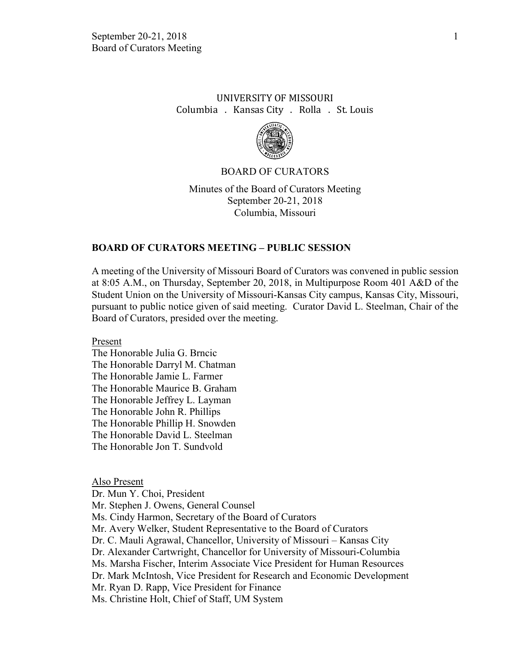## UNIVERSITY OF MISSOURI Columbia . Kansas City . Rolla . St. Louis



#### BOARD OF CURATORS

Minutes of the Board of Curators Meeting September 20-21, 2018 Columbia, Missouri

#### **BOARD OF CURATORS MEETING – PUBLIC SESSION**

A meeting of the University of Missouri Board of Curators was convened in public session at 8:05 A.M., on Thursday, September 20, 2018, in Multipurpose Room 401 A&D of the Student Union on the University of Missouri-Kansas City campus, Kansas City, Missouri, pursuant to public notice given of said meeting. Curator David L. Steelman, Chair of the Board of Curators, presided over the meeting.

Present

The Honorable Julia G. Brncic The Honorable Darryl M. Chatman The Honorable Jamie L. Farmer The Honorable Maurice B. Graham The Honorable Jeffrey L. Layman The Honorable John R. Phillips The Honorable Phillip H. Snowden The Honorable David L. Steelman The Honorable Jon T. Sundvold

Also Present

Dr. Mun Y. Choi, President Mr. Stephen J. Owens, General Counsel Ms. Cindy Harmon, Secretary of the Board of Curators Mr. Avery Welker, Student Representative to the Board of Curators Dr. C. Mauli Agrawal, Chancellor, University of Missouri – Kansas City Dr. Alexander Cartwright, Chancellor for University of Missouri-Columbia Ms. Marsha Fischer, Interim Associate Vice President for Human Resources Dr. Mark McIntosh, Vice President for Research and Economic Development Mr. Ryan D. Rapp, Vice President for Finance Ms. Christine Holt, Chief of Staff, UM System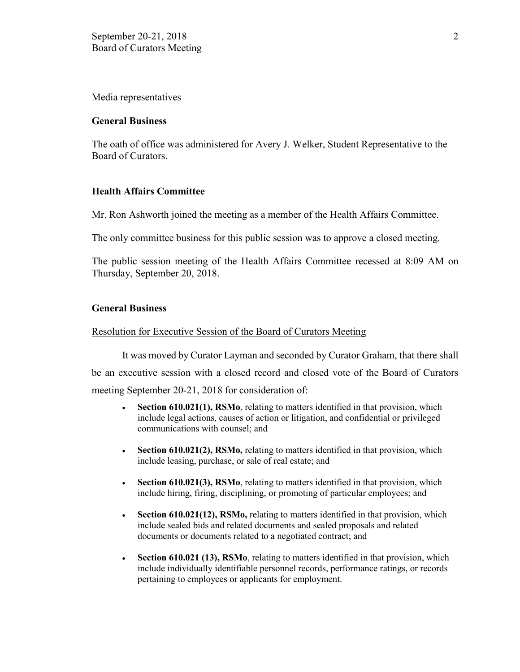Media representatives

#### **General Business**

The oath of office was administered for Avery J. Welker, Student Representative to the Board of Curators.

### **Health Affairs Committee**

Mr. Ron Ashworth joined the meeting as a member of the Health Affairs Committee.

The only committee business for this public session was to approve a closed meeting.

The public session meeting of the Health Affairs Committee recessed at 8:09 AM on Thursday, September 20, 2018.

### **General Business**

#### Resolution for Executive Session of the Board of Curators Meeting

It was moved by Curator Layman and seconded by Curator Graham, that there shall be an executive session with a closed record and closed vote of the Board of Curators meeting September 20-21, 2018 for consideration of:

- **Section 610.021(1), RSMo**, relating to matters identified in that provision, which include legal actions, causes of action or litigation, and confidential or privileged communications with counsel; and
- **Section 610.021(2), RSMo,** relating to matters identified in that provision, which include leasing, purchase, or sale of real estate; and
- **Section 610.021(3), RSMo**, relating to matters identified in that provision, which include hiring, firing, disciplining, or promoting of particular employees; and
- **Section 610.021(12), RSMo,** relating to matters identified in that provision, which include sealed bids and related documents and sealed proposals and related documents or documents related to a negotiated contract; and
- **Section 610.021 (13), RSMo**, relating to matters identified in that provision, which include individually identifiable personnel records, performance ratings, or records pertaining to employees or applicants for employment.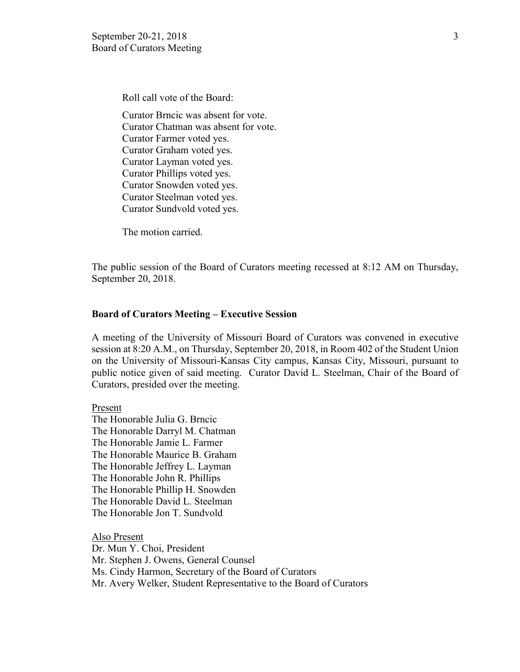Roll call vote of the Board:

Curator Brncic was absent for vote. Curator Chatman was absent for vote. Curator Farmer voted yes. Curator Graham voted yes. Curator Layman voted yes. Curator Phillips voted yes. Curator Snowden voted yes. Curator Steelman voted yes. Curator Sundvold voted yes.

The motion carried.

The public session of the Board of Curators meeting recessed at 8:12 AM on Thursday, September 20, 2018.

#### **Board of Curators Meeting – Executive Session**

A meeting of the University of Missouri Board of Curators was convened in executive session at 8:20 A.M., on Thursday, September 20, 2018, in Room 402 of the Student Union on the University of Missouri-Kansas City campus, Kansas City, Missouri, pursuant to public notice given of said meeting. Curator David L. Steelman, Chair of the Board of Curators, presided over the meeting.

Present

The Honorable Julia G. Brncic The Honorable Darryl M. Chatman The Honorable Jamie L. Farmer The Honorable Maurice B. Graham The Honorable Jeffrey L. Layman The Honorable John R. Phillips The Honorable Phillip H. Snowden The Honorable David L. Steelman The Honorable Jon T. Sundvold

Also Present Dr. Mun Y. Choi, President Mr. Stephen J. Owens, General Counsel Ms. Cindy Harmon, Secretary of the Board of Curators Mr. Avery Welker, Student Representative to the Board of Curators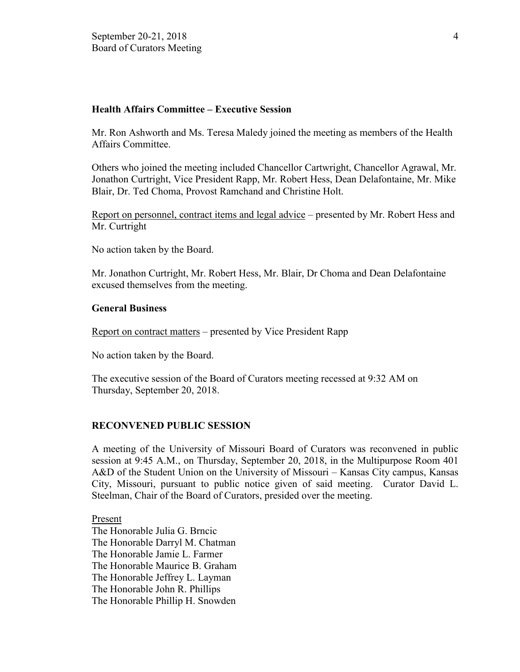## **Health Affairs Committee – Executive Session**

Mr. Ron Ashworth and Ms. Teresa Maledy joined the meeting as members of the Health Affairs Committee.

Others who joined the meeting included Chancellor Cartwright, Chancellor Agrawal, Mr. Jonathon Curtright, Vice President Rapp, Mr. Robert Hess, Dean Delafontaine, Mr. Mike Blair, Dr. Ted Choma, Provost Ramchand and Christine Holt.

Report on personnel, contract items and legal advice – presented by Mr. Robert Hess and Mr. Curtright

No action taken by the Board.

Mr. Jonathon Curtright, Mr. Robert Hess, Mr. Blair, Dr Choma and Dean Delafontaine excused themselves from the meeting.

### **General Business**

Report on contract matters – presented by Vice President Rapp

No action taken by the Board.

The executive session of the Board of Curators meeting recessed at 9:32 AM on Thursday, September 20, 2018.

#### **RECONVENED PUBLIC SESSION**

A meeting of the University of Missouri Board of Curators was reconvened in public session at 9:45 A.M., on Thursday, September 20, 2018, in the Multipurpose Room 401 A&D of the Student Union on the University of Missouri – Kansas City campus, Kansas City, Missouri, pursuant to public notice given of said meeting. Curator David L. Steelman, Chair of the Board of Curators, presided over the meeting.

Present

The Honorable Julia G. Brncic The Honorable Darryl M. Chatman The Honorable Jamie L. Farmer The Honorable Maurice B. Graham The Honorable Jeffrey L. Layman The Honorable John R. Phillips The Honorable Phillip H. Snowden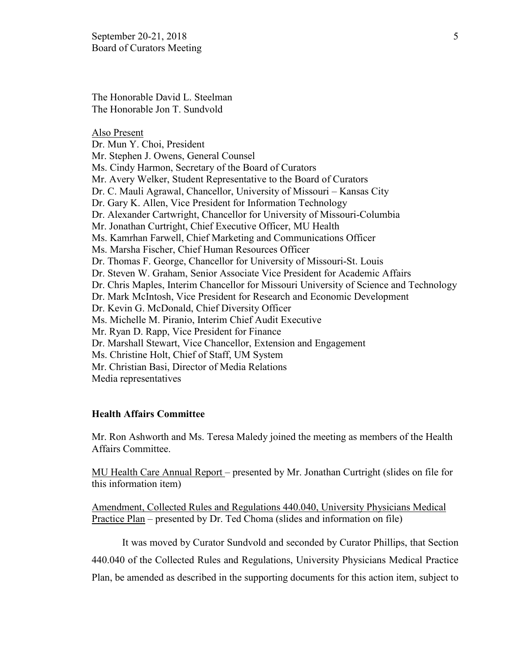The Honorable David L. Steelman The Honorable Jon T. Sundvold

Also Present Dr. Mun Y. Choi, President Mr. Stephen J. Owens, General Counsel Ms. Cindy Harmon, Secretary of the Board of Curators Mr. Avery Welker, Student Representative to the Board of Curators Dr. C. Mauli Agrawal, Chancellor, University of Missouri – Kansas City Dr. Gary K. Allen, Vice President for Information Technology Dr. Alexander Cartwright, Chancellor for University of Missouri-Columbia Mr. Jonathan Curtright, Chief Executive Officer, MU Health Ms. Kamrhan Farwell, Chief Marketing and Communications Officer Ms. Marsha Fischer, Chief Human Resources Officer Dr. Thomas F. George, Chancellor for University of Missouri-St. Louis Dr. Steven W. Graham, Senior Associate Vice President for Academic Affairs Dr. Chris Maples, Interim Chancellor for Missouri University of Science and Technology Dr. Mark McIntosh, Vice President for Research and Economic Development Dr. Kevin G. McDonald, Chief Diversity Officer Ms. Michelle M. Piranio, Interim Chief Audit Executive Mr. Ryan D. Rapp, Vice President for Finance Dr. Marshall Stewart, Vice Chancellor, Extension and Engagement Ms. Christine Holt, Chief of Staff, UM System Mr. Christian Basi, Director of Media Relations Media representatives

#### **Health Affairs Committee**

Mr. Ron Ashworth and Ms. Teresa Maledy joined the meeting as members of the Health Affairs Committee.

MU Health Care Annual Report – presented by Mr. Jonathan Curtright (slides on file for this information item)

Amendment, Collected Rules and Regulations 440.040, University Physicians Medical Practice Plan – presented by Dr. Ted Choma (slides and information on file)

It was moved by Curator Sundvold and seconded by Curator Phillips, that Section 440.040 of the Collected Rules and Regulations, University Physicians Medical Practice Plan, be amended as described in the supporting documents for this action item, subject to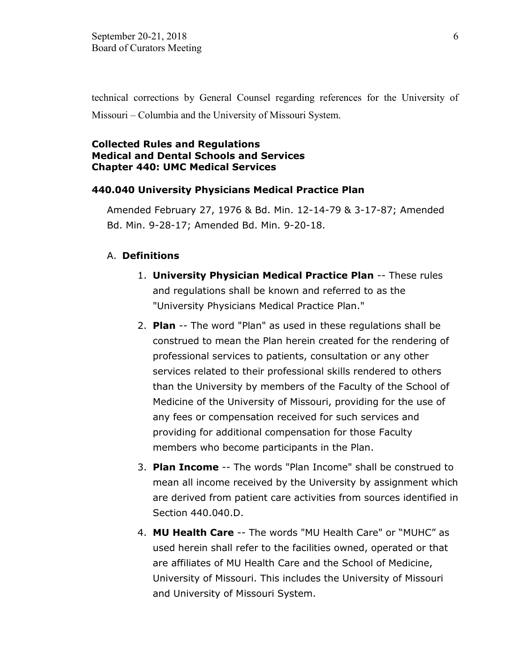technical corrections by General Counsel regarding references for the University of Missouri – Columbia and the University of Missouri System.

### **Collected Rules and Regulations Medical and Dental Schools and Services Chapter 440: UMC Medical Services**

### **440.040 University Physicians Medical Practice Plan**

Amended February 27, 1976 & Bd. Min. 12-14-79 & 3-17-87; Amended Bd. Min. 9-28-17; Amended Bd. Min. 9-20-18.

#### A. **Definitions**

- 1. **University Physician Medical Practice Plan** -- These rules and regulations shall be known and referred to as the "University Physicians Medical Practice Plan."
- 2. **Plan** -- The word "Plan" as used in these regulations shall be construed to mean the Plan herein created for the rendering of professional services to patients, consultation or any other services related to their professional skills rendered to others than the University by members of the Faculty of the School of Medicine of the University of Missouri, providing for the use of any fees or compensation received for such services and providing for additional compensation for those Faculty members who become participants in the Plan.
- 3. **Plan Income** -- The words "Plan Income" shall be construed to mean all income received by the University by assignment which are derived from patient care activities from sources identified in Section 440.040.D.
- 4. **MU Health Care** -- The words "MU Health Care" or "MUHC" as used herein shall refer to the facilities owned, operated or that are affiliates of MU Health Care and the School of Medicine, University of Missouri. This includes the University of Missouri and University of Missouri System.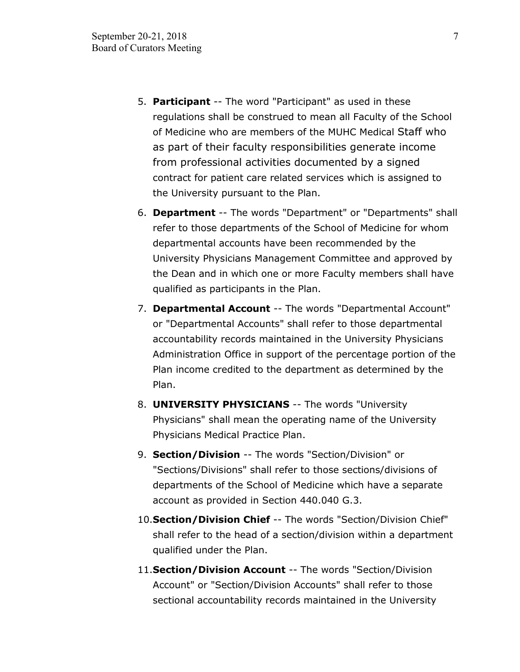- 5. **Participant** -- The word "Participant" as used in these regulations shall be construed to mean all Faculty of the School of Medicine who are members of the MUHC Medical Staff who as part of their faculty responsibilities generate income from professional activities documented by a signed contract for patient care related services which is assigned to the University pursuant to the Plan.
- 6. **Department** -- The words "Department" or "Departments" shall refer to those departments of the School of Medicine for whom departmental accounts have been recommended by the University Physicians Management Committee and approved by the Dean and in which one or more Faculty members shall have qualified as participants in the Plan.
- 7. **Departmental Account** -- The words "Departmental Account" or "Departmental Accounts" shall refer to those departmental accountability records maintained in the University Physicians Administration Office in support of the percentage portion of the Plan income credited to the department as determined by the Plan.
- 8. **UNIVERSITY PHYSICIANS** -- The words "University Physicians" shall mean the operating name of the University Physicians Medical Practice Plan.
- 9. **Section/Division** -- The words "Section/Division" or "Sections/Divisions" shall refer to those sections/divisions of departments of the School of Medicine which have a separate account as provided in Section 440.040 G.3.
- 10.**Section/Division Chief** -- The words "Section/Division Chief" shall refer to the head of a section/division within a department qualified under the Plan.
- 11.**Section/Division Account** -- The words "Section/Division Account" or "Section/Division Accounts" shall refer to those sectional accountability records maintained in the University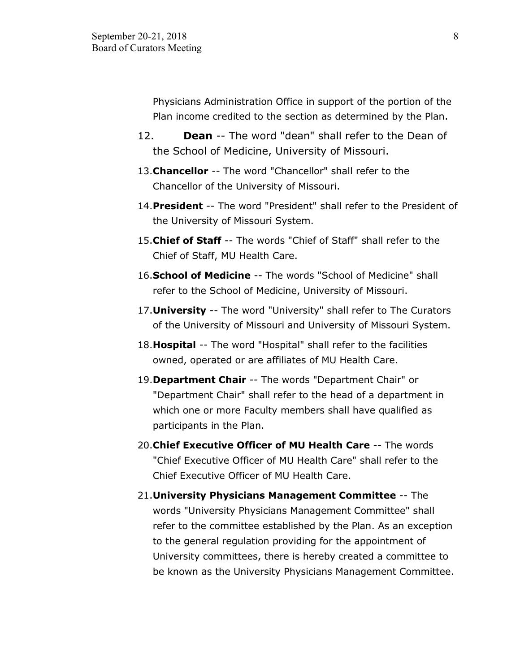Physicians Administration Office in support of the portion of the Plan income credited to the section as determined by the Plan.

- 12. **Dean** -- The word "dean" shall refer to the Dean of the School of Medicine, University of Missouri.
- 13.**Chancellor** -- The word "Chancellor" shall refer to the Chancellor of the University of Missouri.
- 14.**President** -- The word "President" shall refer to the President of the University of Missouri System.
- 15.**Chief of Staff** -- The words "Chief of Staff" shall refer to the Chief of Staff, MU Health Care.
- 16.**School of Medicine** -- The words "School of Medicine" shall refer to the School of Medicine, University of Missouri.
- 17.**University** -- The word "University" shall refer to The Curators of the University of Missouri and University of Missouri System.
- 18.**Hospital** -- The word "Hospital" shall refer to the facilities owned, operated or are affiliates of MU Health Care.
- 19.**Department Chair** -- The words "Department Chair" or "Department Chair" shall refer to the head of a department in which one or more Faculty members shall have qualified as participants in the Plan.
- 20.**Chief Executive Officer of MU Health Care** -- The words "Chief Executive Officer of MU Health Care" shall refer to the Chief Executive Officer of MU Health Care.
- 21.**University Physicians Management Committee** -- The words "University Physicians Management Committee" shall refer to the committee established by the Plan. As an exception to the general regulation providing for the appointment of University committees, there is hereby created a committee to be known as the University Physicians Management Committee.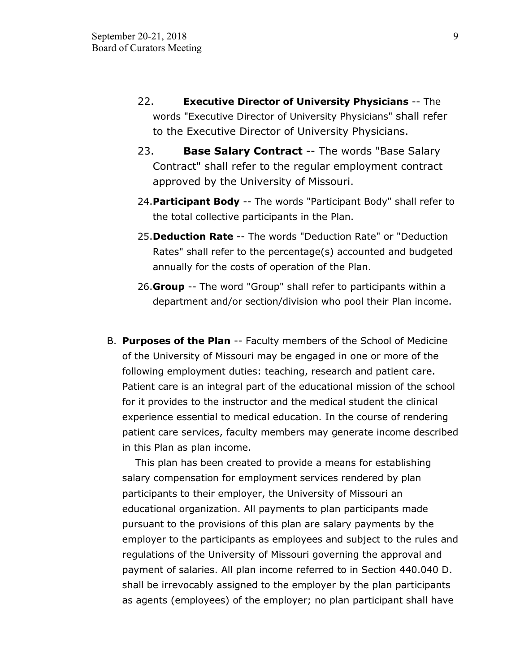- 22. **Executive Director of University Physicians** -- The words "Executive Director of University Physicians" shall refer to the Executive Director of University Physicians.
- 23. **Base Salary Contract** -- The words "Base Salary Contract" shall refer to the regular employment contract approved by the University of Missouri.
- 24.**Participant Body** -- The words "Participant Body" shall refer to the total collective participants in the Plan.
- 25.**Deduction Rate** -- The words "Deduction Rate" or "Deduction Rates" shall refer to the percentage(s) accounted and budgeted annually for the costs of operation of the Plan.
- 26.**Group** -- The word "Group" shall refer to participants within a department and/or section/division who pool their Plan income.
- B. **Purposes of the Plan** -- Faculty members of the School of Medicine of the University of Missouri may be engaged in one or more of the following employment duties: teaching, research and patient care. Patient care is an integral part of the educational mission of the school for it provides to the instructor and the medical student the clinical experience essential to medical education. In the course of rendering patient care services, faculty members may generate income described in this Plan as plan income.

 This plan has been created to provide a means for establishing salary compensation for employment services rendered by plan participants to their employer, the University of Missouri an educational organization. All payments to plan participants made pursuant to the provisions of this plan are salary payments by the employer to the participants as employees and subject to the rules and regulations of the University of Missouri governing the approval and payment of salaries. All plan income referred to in Section 440.040 D. shall be irrevocably assigned to the employer by the plan participants as agents (employees) of the employer; no plan participant shall have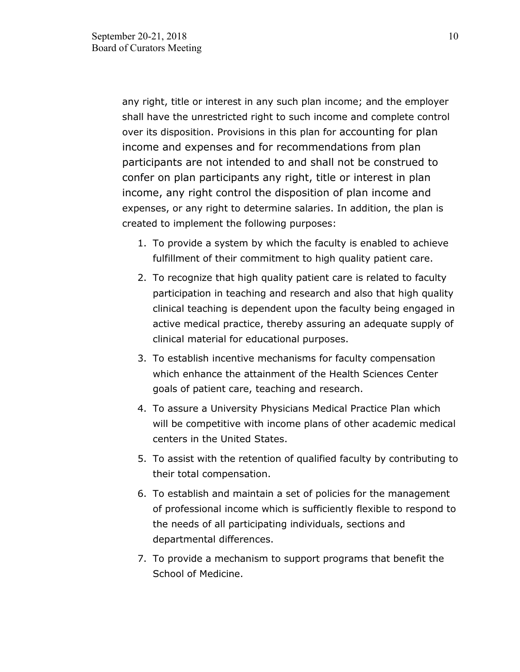any right, title or interest in any such plan income; and the employer shall have the unrestricted right to such income and complete control over its disposition. Provisions in this plan for accounting for plan income and expenses and for recommendations from plan participants are not intended to and shall not be construed to confer on plan participants any right, title or interest in plan income, any right control the disposition of plan income and expenses, or any right to determine salaries. In addition, the plan is created to implement the following purposes:

- 1. To provide a system by which the faculty is enabled to achieve fulfillment of their commitment to high quality patient care.
- 2. To recognize that high quality patient care is related to faculty participation in teaching and research and also that high quality clinical teaching is dependent upon the faculty being engaged in active medical practice, thereby assuring an adequate supply of clinical material for educational purposes.
- 3. To establish incentive mechanisms for faculty compensation which enhance the attainment of the Health Sciences Center goals of patient care, teaching and research.
- 4. To assure a University Physicians Medical Practice Plan which will be competitive with income plans of other academic medical centers in the United States.
- 5. To assist with the retention of qualified faculty by contributing to their total compensation.
- 6. To establish and maintain a set of policies for the management of professional income which is sufficiently flexible to respond to the needs of all participating individuals, sections and departmental differences.
- 7. To provide a mechanism to support programs that benefit the School of Medicine.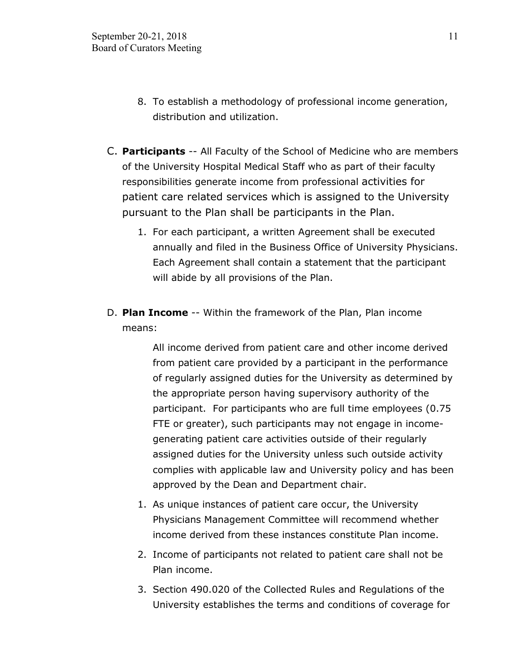- 8. To establish a methodology of professional income generation, distribution and utilization.
- C. **Participants** -- All Faculty of the School of Medicine who are members of the University Hospital Medical Staff who as part of their faculty responsibilities generate income from professional activities for patient care related services which is assigned to the University pursuant to the Plan shall be participants in the Plan.
	- 1. For each participant, a written Agreement shall be executed annually and filed in the Business Office of University Physicians. Each Agreement shall contain a statement that the participant will abide by all provisions of the Plan.
- D. **Plan Income** -- Within the framework of the Plan, Plan income means:

All income derived from patient care and other income derived from patient care provided by a participant in the performance of regularly assigned duties for the University as determined by the appropriate person having supervisory authority of the participant. For participants who are full time employees (0.75 FTE or greater), such participants may not engage in incomegenerating patient care activities outside of their regularly assigned duties for the University unless such outside activity complies with applicable law and University policy and has been approved by the Dean and Department chair.

- 1. As unique instances of patient care occur, the University Physicians Management Committee will recommend whether income derived from these instances constitute Plan income.
- 2. Income of participants not related to patient care shall not be Plan income.
- 3. Section 490.020 of the Collected Rules and Regulations of the University establishes the terms and conditions of coverage for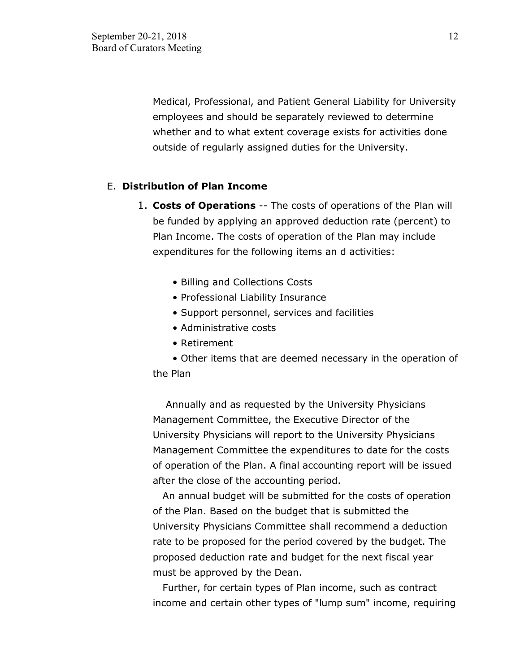Medical, Professional, and Patient General Liability for University employees and should be separately reviewed to determine whether and to what extent coverage exists for activities done outside of regularly assigned duties for the University.

### E. **Distribution of Plan Income**

- 1. **Costs of Operations** -- The costs of operations of the Plan will be funded by applying an approved deduction rate (percent) to Plan Income. The costs of operation of the Plan may include expenditures for the following items an d activities:
	- Billing and Collections Costs
	- Professional Liability Insurance
	- Support personnel, services and facilities
	- Administrative costs
	- Retirement
	- Other items that are deemed necessary in the operation of the Plan

 Annually and as requested by the University Physicians Management Committee, the Executive Director of the University Physicians will report to the University Physicians Management Committee the expenditures to date for the costs of operation of the Plan. A final accounting report will be issued after the close of the accounting period.

 An annual budget will be submitted for the costs of operation of the Plan. Based on the budget that is submitted the University Physicians Committee shall recommend a deduction rate to be proposed for the period covered by the budget. The proposed deduction rate and budget for the next fiscal year must be approved by the Dean.

 Further, for certain types of Plan income, such as contract income and certain other types of "lump sum" income, requiring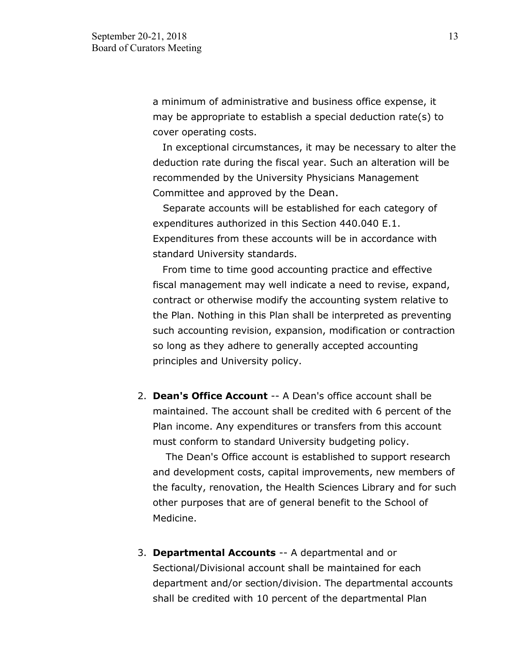a minimum of administrative and business office expense, it may be appropriate to establish a special deduction rate(s) to cover operating costs.

 In exceptional circumstances, it may be necessary to alter the deduction rate during the fiscal year. Such an alteration will be recommended by the University Physicians Management Committee and approved by the Dean.

 Separate accounts will be established for each category of expenditures authorized in this Section 440.040 E.1. Expenditures from these accounts will be in accordance with standard University standards.

 From time to time good accounting practice and effective fiscal management may well indicate a need to revise, expand, contract or otherwise modify the accounting system relative to the Plan. Nothing in this Plan shall be interpreted as preventing such accounting revision, expansion, modification or contraction so long as they adhere to generally accepted accounting principles and University policy.

2. **Dean's Office Account** -- A Dean's office account shall be maintained. The account shall be credited with 6 percent of the Plan income. Any expenditures or transfers from this account must conform to standard University budgeting policy.

 The Dean's Office account is established to support research and development costs, capital improvements, new members of the faculty, renovation, the Health Sciences Library and for such other purposes that are of general benefit to the School of Medicine.

3. **Departmental Accounts** -- A departmental and or Sectional/Divisional account shall be maintained for each department and/or section/division. The departmental accounts shall be credited with 10 percent of the departmental Plan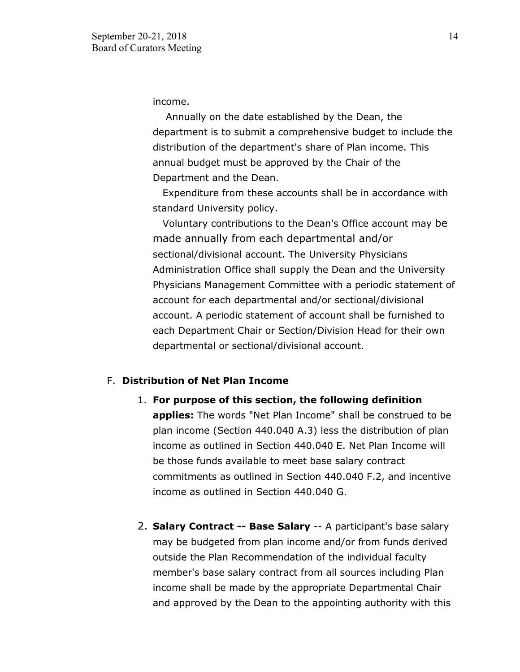income.

 Annually on the date established by the Dean, the department is to submit a comprehensive budget to include the distribution of the department's share of Plan income. This annual budget must be approved by the Chair of the Department and the Dean.

 Expenditure from these accounts shall be in accordance with standard University policy.

 Voluntary contributions to the Dean's Office account may be made annually from each departmental and/or sectional/divisional account. The University Physicians Administration Office shall supply the Dean and the University Physicians Management Committee with a periodic statement of account for each departmental and/or sectional/divisional account. A periodic statement of account shall be furnished to each Department Chair or Section/Division Head for their own departmental or sectional/divisional account.

### F. **Distribution of Net Plan Income**

- 1. **For purpose of this section, the following definition applies:** The words "Net Plan Income" shall be construed to be plan income (Section 440.040 A.3) less the distribution of plan income as outlined in Section 440.040 E. Net Plan Income will be those funds available to meet base salary contract commitments as outlined in Section 440.040 F.2, and incentive income as outlined in Section 440.040 G.
- 2. **Salary Contract -- Base Salary** -- A participant's base salary may be budgeted from plan income and/or from funds derived outside the Plan Recommendation of the individual faculty member's base salary contract from all sources including Plan income shall be made by the appropriate Departmental Chair and approved by the Dean to the appointing authority with this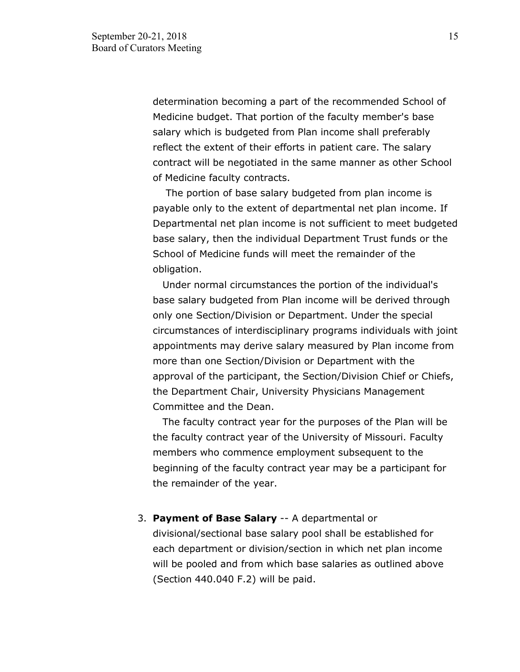determination becoming a part of the recommended School of Medicine budget. That portion of the faculty member's base salary which is budgeted from Plan income shall preferably reflect the extent of their efforts in patient care. The salary contract will be negotiated in the same manner as other School of Medicine faculty contracts.

 The portion of base salary budgeted from plan income is payable only to the extent of departmental net plan income. If Departmental net plan income is not sufficient to meet budgeted base salary, then the individual Department Trust funds or the School of Medicine funds will meet the remainder of the obligation.

 Under normal circumstances the portion of the individual's base salary budgeted from Plan income will be derived through only one Section/Division or Department. Under the special circumstances of interdisciplinary programs individuals with joint appointments may derive salary measured by Plan income from more than one Section/Division or Department with the approval of the participant, the Section/Division Chief or Chiefs, the Department Chair, University Physicians Management Committee and the Dean.

 The faculty contract year for the purposes of the Plan will be the faculty contract year of the University of Missouri. Faculty members who commence employment subsequent to the beginning of the faculty contract year may be a participant for the remainder of the year.

3. **Payment of Base Salary** -- A departmental or divisional/sectional base salary pool shall be established for each department or division/section in which net plan income will be pooled and from which base salaries as outlined above (Section 440.040 F.2) will be paid.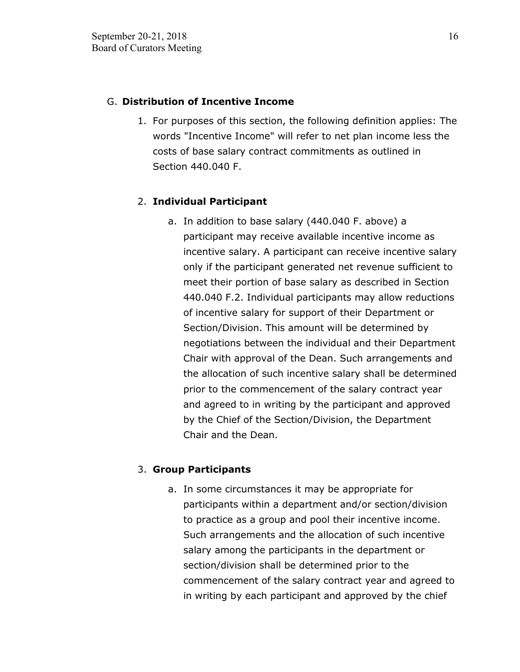## G. **Distribution of Incentive Income**

1. For purposes of this section, the following definition applies: The words "Incentive Income" will refer to net plan income less the costs of base salary contract commitments as outlined in Section 440.040 F.

## 2. **Individual Participant**

a. In addition to base salary (440.040 F. above) a participant may receive available incentive income as incentive salary. A participant can receive incentive salary only if the participant generated net revenue sufficient to meet their portion of base salary as described in Section 440.040 F.2. Individual participants may allow reductions of incentive salary for support of their Department or Section/Division. This amount will be determined by negotiations between the individual and their Department Chair with approval of the Dean. Such arrangements and the allocation of such incentive salary shall be determined prior to the commencement of the salary contract year and agreed to in writing by the participant and approved by the Chief of the Section/Division, the Department Chair and the Dean.

## 3. **Group Participants**

a. In some circumstances it may be appropriate for participants within a department and/or section/division to practice as a group and pool their incentive income. Such arrangements and the allocation of such incentive salary among the participants in the department or section/division shall be determined prior to the commencement of the salary contract year and agreed to in writing by each participant and approved by the chief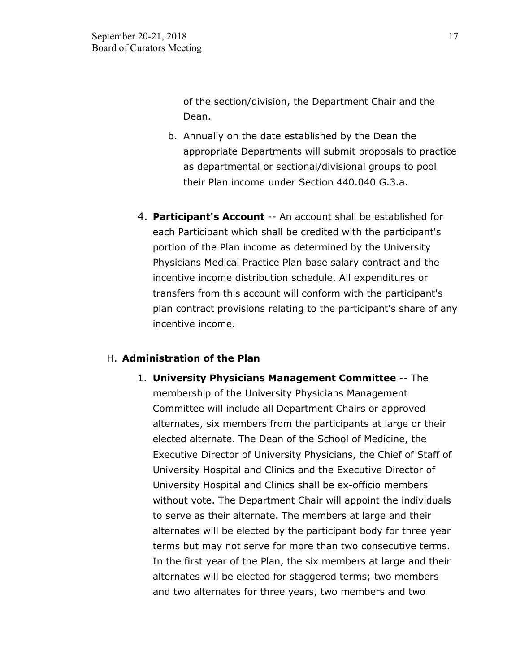of the section/division, the Department Chair and the Dean.

- b. Annually on the date established by the Dean the appropriate Departments will submit proposals to practice as departmental or sectional/divisional groups to pool their Plan income under Section 440.040 G.3.a.
- 4. **Participant's Account** -- An account shall be established for each Participant which shall be credited with the participant's portion of the Plan income as determined by the University Physicians Medical Practice Plan base salary contract and the incentive income distribution schedule. All expenditures or transfers from this account will conform with the participant's plan contract provisions relating to the participant's share of any incentive income.

## H. **Administration of the Plan**

1. **University Physicians Management Committee** -- The membership of the University Physicians Management Committee will include all Department Chairs or approved alternates, six members from the participants at large or their elected alternate. The Dean of the School of Medicine, the Executive Director of University Physicians, the Chief of Staff of University Hospital and Clinics and the Executive Director of University Hospital and Clinics shall be ex-officio members without vote. The Department Chair will appoint the individuals to serve as their alternate. The members at large and their alternates will be elected by the participant body for three year terms but may not serve for more than two consecutive terms. In the first year of the Plan, the six members at large and their alternates will be elected for staggered terms; two members and two alternates for three years, two members and two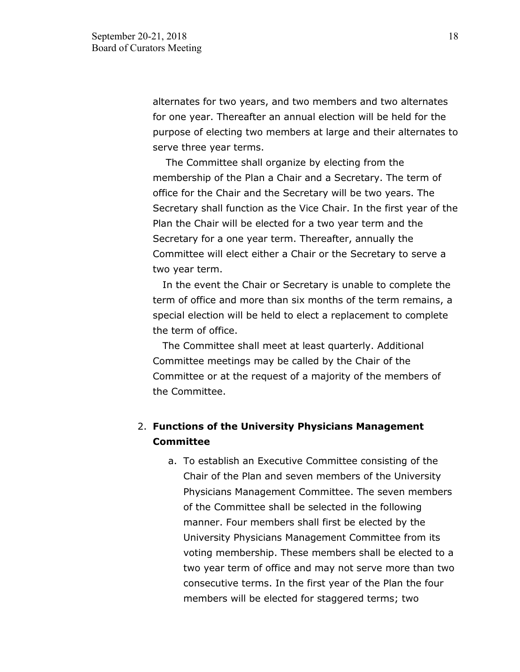alternates for two years, and two members and two alternates for one year. Thereafter an annual election will be held for the purpose of electing two members at large and their alternates to serve three year terms.

 The Committee shall organize by electing from the membership of the Plan a Chair and a Secretary. The term of office for the Chair and the Secretary will be two years. The Secretary shall function as the Vice Chair. In the first year of the Plan the Chair will be elected for a two year term and the Secretary for a one year term. Thereafter, annually the Committee will elect either a Chair or the Secretary to serve a two year term.

 In the event the Chair or Secretary is unable to complete the term of office and more than six months of the term remains, a special election will be held to elect a replacement to complete the term of office.

 The Committee shall meet at least quarterly. Additional Committee meetings may be called by the Chair of the Committee or at the request of a majority of the members of the Committee.

# 2. **Functions of the University Physicians Management Committee**

a. To establish an Executive Committee consisting of the Chair of the Plan and seven members of the University Physicians Management Committee. The seven members of the Committee shall be selected in the following manner. Four members shall first be elected by the University Physicians Management Committee from its voting membership. These members shall be elected to a two year term of office and may not serve more than two consecutive terms. In the first year of the Plan the four members will be elected for staggered terms; two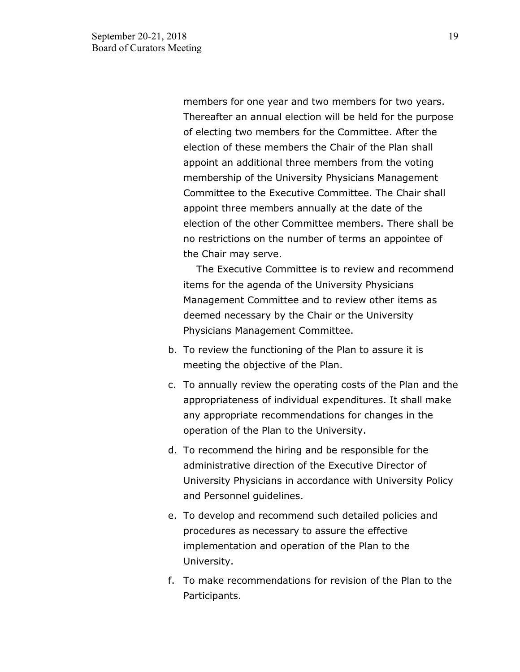members for one year and two members for two years. Thereafter an annual election will be held for the purpose of electing two members for the Committee. After the election of these members the Chair of the Plan shall appoint an additional three members from the voting membership of the University Physicians Management Committee to the Executive Committee. The Chair shall appoint three members annually at the date of the election of the other Committee members. There shall be no restrictions on the number of terms an appointee of the Chair may serve.

 The Executive Committee is to review and recommend items for the agenda of the University Physicians Management Committee and to review other items as deemed necessary by the Chair or the University Physicians Management Committee.

- b. To review the functioning of the Plan to assure it is meeting the objective of the Plan.
- c. To annually review the operating costs of the Plan and the appropriateness of individual expenditures. It shall make any appropriate recommendations for changes in the operation of the Plan to the University.
- d. To recommend the hiring and be responsible for the administrative direction of the Executive Director of University Physicians in accordance with University Policy and Personnel guidelines.
- e. To develop and recommend such detailed policies and procedures as necessary to assure the effective implementation and operation of the Plan to the University.
- f. To make recommendations for revision of the Plan to the Participants.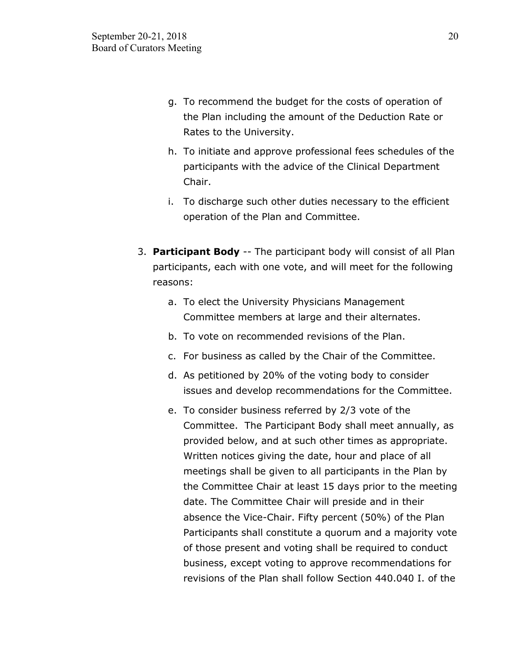- g. To recommend the budget for the costs of operation of the Plan including the amount of the Deduction Rate or Rates to the University.
- h. To initiate and approve professional fees schedules of the participants with the advice of the Clinical Department Chair.
- i. To discharge such other duties necessary to the efficient operation of the Plan and Committee.
- 3. **Participant Body** -- The participant body will consist of all Plan participants, each with one vote, and will meet for the following reasons:
	- a. To elect the University Physicians Management Committee members at large and their alternates.
	- b. To vote on recommended revisions of the Plan.
	- c. For business as called by the Chair of the Committee.
	- d. As petitioned by 20% of the voting body to consider issues and develop recommendations for the Committee.
	- e. To consider business referred by 2/3 vote of the Committee. The Participant Body shall meet annually, as provided below, and at such other times as appropriate. Written notices giving the date, hour and place of all meetings shall be given to all participants in the Plan by the Committee Chair at least 15 days prior to the meeting date. The Committee Chair will preside and in their absence the Vice-Chair. Fifty percent (50%) of the Plan Participants shall constitute a quorum and a majority vote of those present and voting shall be required to conduct business, except voting to approve recommendations for revisions of the Plan shall follow Section 440.040 I. of the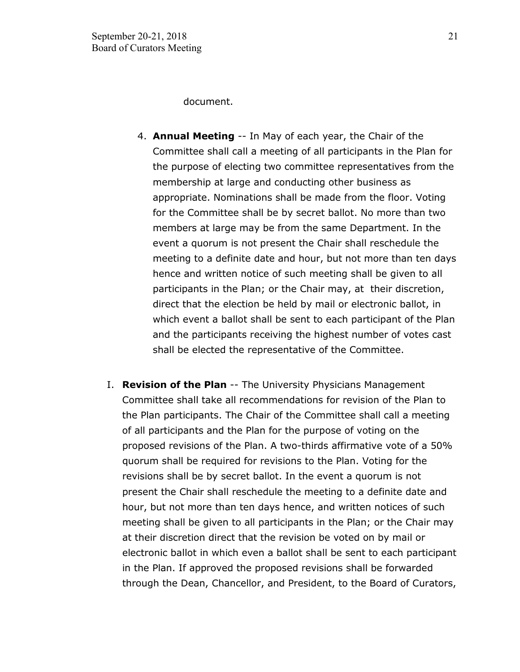document.

- 4. **Annual Meeting** -- In May of each year, the Chair of the Committee shall call a meeting of all participants in the Plan for the purpose of electing two committee representatives from the membership at large and conducting other business as appropriate. Nominations shall be made from the floor. Voting for the Committee shall be by secret ballot. No more than two members at large may be from the same Department. In the event a quorum is not present the Chair shall reschedule the meeting to a definite date and hour, but not more than ten days hence and written notice of such meeting shall be given to all participants in the Plan; or the Chair may, at their discretion, direct that the election be held by mail or electronic ballot, in which event a ballot shall be sent to each participant of the Plan and the participants receiving the highest number of votes cast shall be elected the representative of the Committee.
- I. **Revision of the Plan** -- The University Physicians Management Committee shall take all recommendations for revision of the Plan to the Plan participants. The Chair of the Committee shall call a meeting of all participants and the Plan for the purpose of voting on the proposed revisions of the Plan. A two-thirds affirmative vote of a 50% quorum shall be required for revisions to the Plan. Voting for the revisions shall be by secret ballot. In the event a quorum is not present the Chair shall reschedule the meeting to a definite date and hour, but not more than ten days hence, and written notices of such meeting shall be given to all participants in the Plan; or the Chair may at their discretion direct that the revision be voted on by mail or electronic ballot in which even a ballot shall be sent to each participant in the Plan. If approved the proposed revisions shall be forwarded through the Dean, Chancellor, and President, to the Board of Curators,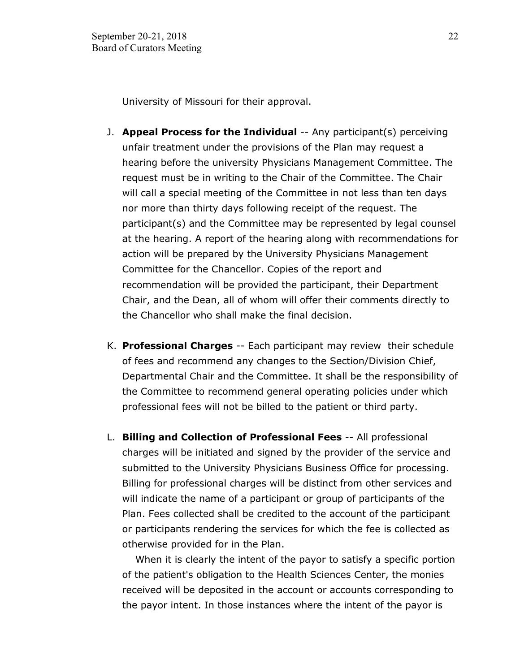University of Missouri for their approval.

- J. **Appeal Process for the Individual** -- Any participant(s) perceiving unfair treatment under the provisions of the Plan may request a hearing before the university Physicians Management Committee. The request must be in writing to the Chair of the Committee. The Chair will call a special meeting of the Committee in not less than ten days nor more than thirty days following receipt of the request. The participant(s) and the Committee may be represented by legal counsel at the hearing. A report of the hearing along with recommendations for action will be prepared by the University Physicians Management Committee for the Chancellor. Copies of the report and recommendation will be provided the participant, their Department Chair, and the Dean, all of whom will offer their comments directly to the Chancellor who shall make the final decision.
- K. **Professional Charges** -- Each participant may review their schedule of fees and recommend any changes to the Section/Division Chief, Departmental Chair and the Committee. It shall be the responsibility of the Committee to recommend general operating policies under which professional fees will not be billed to the patient or third party.
- L. **Billing and Collection of Professional Fees** -- All professional charges will be initiated and signed by the provider of the service and submitted to the University Physicians Business Office for processing. Billing for professional charges will be distinct from other services and will indicate the name of a participant or group of participants of the Plan. Fees collected shall be credited to the account of the participant or participants rendering the services for which the fee is collected as otherwise provided for in the Plan.

 When it is clearly the intent of the payor to satisfy a specific portion of the patient's obligation to the Health Sciences Center, the monies received will be deposited in the account or accounts corresponding to the payor intent. In those instances where the intent of the payor is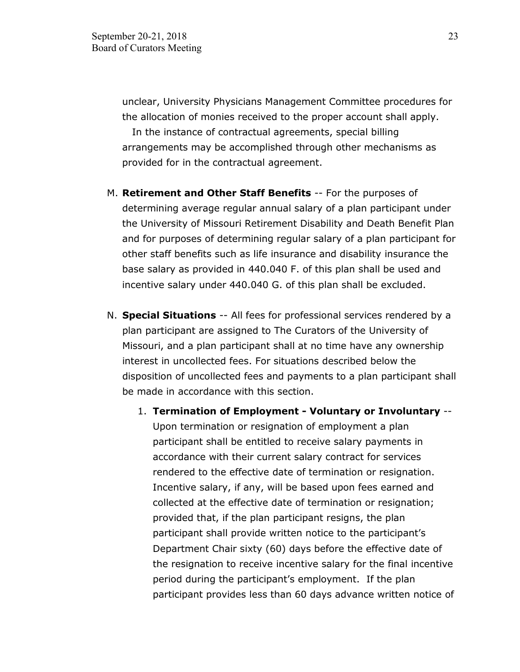unclear, University Physicians Management Committee procedures for the allocation of monies received to the proper account shall apply. In the instance of contractual agreements, special billing arrangements may be accomplished through other mechanisms as provided for in the contractual agreement.

- M. **Retirement and Other Staff Benefits** -- For the purposes of determining average regular annual salary of a plan participant under the University of Missouri Retirement Disability and Death Benefit Plan and for purposes of determining regular salary of a plan participant for other staff benefits such as life insurance and disability insurance the base salary as provided in 440.040 F. of this plan shall be used and incentive salary under 440.040 G. of this plan shall be excluded.
- N. **Special Situations** -- All fees for professional services rendered by a plan participant are assigned to The Curators of the University of Missouri, and a plan participant shall at no time have any ownership interest in uncollected fees. For situations described below the disposition of uncollected fees and payments to a plan participant shall be made in accordance with this section.
	- 1. **Termination of Employment Voluntary or Involuntary** -- Upon termination or resignation of employment a plan participant shall be entitled to receive salary payments in accordance with their current salary contract for services rendered to the effective date of termination or resignation. Incentive salary, if any, will be based upon fees earned and collected at the effective date of termination or resignation; provided that, if the plan participant resigns, the plan participant shall provide written notice to the participant's Department Chair sixty (60) days before the effective date of the resignation to receive incentive salary for the final incentive period during the participant's employment. If the plan participant provides less than 60 days advance written notice of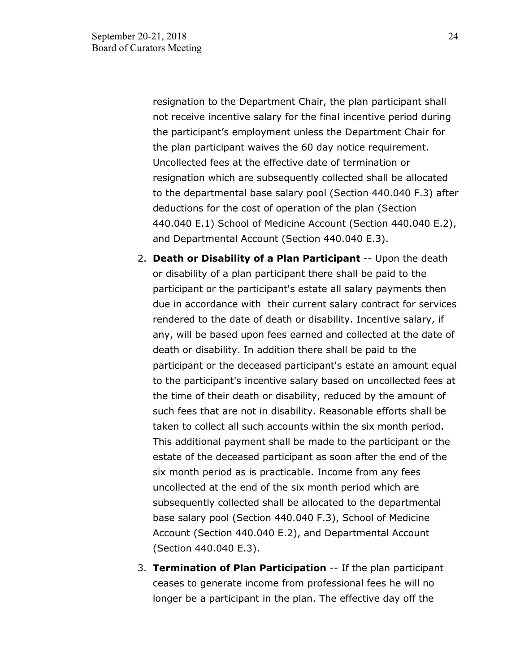resignation to the Department Chair, the plan participant shall not receive incentive salary for the final incentive period during the participant's employment unless the Department Chair for the plan participant waives the 60 day notice requirement. Uncollected fees at the effective date of termination or resignation which are subsequently collected shall be allocated to the departmental base salary pool (Section 440.040 F.3) after deductions for the cost of operation of the plan (Section 440.040 E.1) School of Medicine Account (Section 440.040 E.2), and Departmental Account (Section 440.040 E.3).

- 2. **Death or Disability of a Plan Participant** -- Upon the death or disability of a plan participant there shall be paid to the participant or the participant's estate all salary payments then due in accordance with their current salary contract for services rendered to the date of death or disability. Incentive salary, if any, will be based upon fees earned and collected at the date of death or disability. In addition there shall be paid to the participant or the deceased participant's estate an amount equal to the participant's incentive salary based on uncollected fees at the time of their death or disability, reduced by the amount of such fees that are not in disability. Reasonable efforts shall be taken to collect all such accounts within the six month period. This additional payment shall be made to the participant or the estate of the deceased participant as soon after the end of the six month period as is practicable. Income from any fees uncollected at the end of the six month period which are subsequently collected shall be allocated to the departmental base salary pool (Section 440.040 F.3), School of Medicine Account (Section 440.040 E.2), and Departmental Account (Section 440.040 E.3).
- 3. **Termination of Plan Participation** -- If the plan participant ceases to generate income from professional fees he will no longer be a participant in the plan. The effective day off the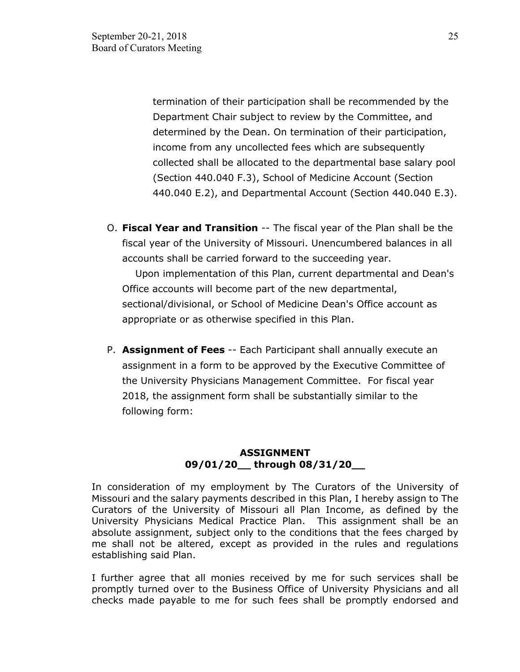termination of their participation shall be recommended by the Department Chair subject to review by the Committee, and determined by the Dean. On termination of their participation, income from any uncollected fees which are subsequently collected shall be allocated to the departmental base salary pool (Section 440.040 F.3), School of Medicine Account (Section 440.040 E.2), and Departmental Account (Section 440.040 E.3).

O. **Fiscal Year and Transition** -- The fiscal year of the Plan shall be the fiscal year of the University of Missouri. Unencumbered balances in all accounts shall be carried forward to the succeeding year.

 Upon implementation of this Plan, current departmental and Dean's Office accounts will become part of the new departmental, sectional/divisional, or School of Medicine Dean's Office account as appropriate or as otherwise specified in this Plan.

P. **Assignment of Fees** -- Each Participant shall annually execute an assignment in a form to be approved by the Executive Committee of the University Physicians Management Committee. For fiscal year 2018, the assignment form shall be substantially similar to the following form:

## **ASSIGNMENT 09/01/20\_\_ through 08/31/20\_\_**

In consideration of my employment by The Curators of the University of Missouri and the salary payments described in this Plan, I hereby assign to The Curators of the University of Missouri all Plan Income, as defined by the University Physicians Medical Practice Plan. This assignment shall be an absolute assignment, subject only to the conditions that the fees charged by me shall not be altered, except as provided in the rules and regulations establishing said Plan.

I further agree that all monies received by me for such services shall be promptly turned over to the Business Office of University Physicians and all checks made payable to me for such fees shall be promptly endorsed and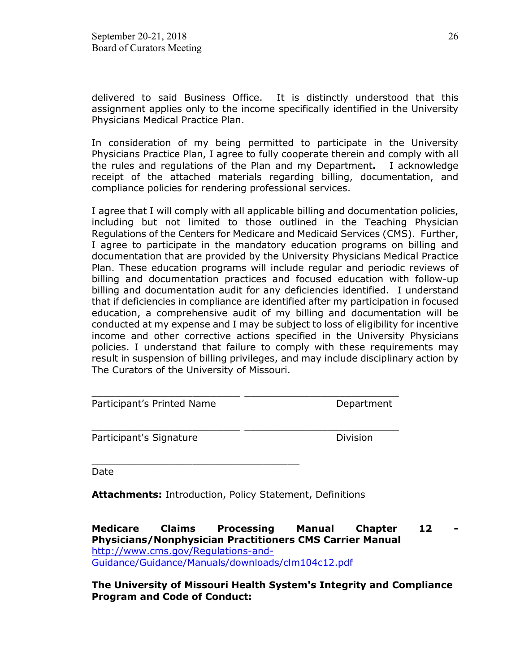delivered to said Business Office. It is distinctly understood that this assignment applies only to the income specifically identified in the University Physicians Medical Practice Plan.

In consideration of my being permitted to participate in the University Physicians Practice Plan, I agree to fully cooperate therein and comply with all the rules and regulations of the Plan and my Department**.** I acknowledge receipt of the attached materials regarding billing, documentation, and compliance policies for rendering professional services.

I agree that I will comply with all applicable billing and documentation policies, including but not limited to those outlined in the Teaching Physician Regulations of the Centers for Medicare and Medicaid Services (CMS). Further, I agree to participate in the mandatory education programs on billing and documentation that are provided by the University Physicians Medical Practice Plan. These education programs will include regular and periodic reviews of billing and documentation practices and focused education with follow-up billing and documentation audit for any deficiencies identified. I understand that if deficiencies in compliance are identified after my participation in focused education, a comprehensive audit of my billing and documentation will be conducted at my expense and I may be subject to loss of eligibility for incentive income and other corrective actions specified in the University Physicians policies. I understand that failure to comply with these requirements may result in suspension of billing privileges, and may include disciplinary action by The Curators of the University of Missouri.

Department

Participant's Signature **Division** 

Date

**Attachments:** Introduction, Policy Statement, Definitions

\_\_\_\_\_\_\_\_\_\_\_\_\_\_\_\_\_\_\_\_\_\_\_\_\_\_\_\_\_\_\_\_\_\_\_

\_\_\_\_\_\_\_\_\_\_\_\_\_\_\_\_\_\_\_\_\_\_\_\_\_ \_\_\_\_\_\_\_\_\_\_\_\_\_\_\_\_\_\_\_\_\_\_\_\_\_\_

\_\_\_\_\_\_\_\_\_\_\_\_\_\_\_\_\_\_\_\_\_\_\_\_\_ \_\_\_\_\_\_\_\_\_\_\_\_\_\_\_\_\_\_\_\_\_\_\_\_\_\_

**Medicare Claims Processing Manual Chapter 12 Physicians/Nonphysician Practitioners CMS Carrier Manual**  [http://www.cms.gov/Regulations-and-](http://www.cms.gov/Regulations-and-Guidance/Guidance/Manuals/downloads/clm104c12.pdf)[Guidance/Guidance/Manuals/downloads/clm104c12.pdf](http://www.cms.gov/Regulations-and-Guidance/Guidance/Manuals/downloads/clm104c12.pdf)

**The University of Missouri Health System's [Integrity and Compliance](https://mymuhealth.org/workfiles/Corporate%20Compliance/MUHS%20Integrity%20and%20Compliance%20Program%20Final.pdf)  [Program](https://mymuhealth.org/workfiles/Corporate%20Compliance/MUHS%20Integrity%20and%20Compliance%20Program%20Final.pdf) and [Code of Conduct:](https://mymuhealth.org/workfiles/Corporate%20Compliance/Code%20of%20Conduct%20Manual%202015.pdf)**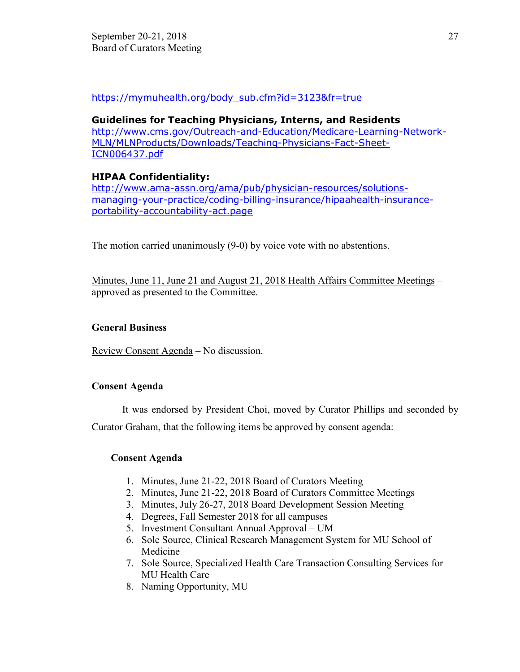[https://mymuhealth.org/body\\_sub.cfm?id=3123&fr=true](https://mymuhealth.org/body_sub.cfm?id=3123&fr=true) 

### **Guidelines for Teaching Physicians, Interns, and Residents**

http://www.cms.gov/Outreach-and-Education/Medicare-Learning-Network-MLN/MLNProducts/Downloads/Teaching-Physicians-Fact-Sheet-ICN006437.pdf

# **HIPAA Confidentiality:**

http://www.ama-assn.org/ama/pub/physician-resources/solutionsmanaging-your-practice/coding-billing-insurance/hipaahealth-insuranceportability-accountability-act.page

The motion carried unanimously (9-0) by voice vote with no abstentions.

Minutes, June 11, June 21 and August 21, 2018 Health Affairs Committee Meetings – approved as presented to the Committee.

## **General Business**

Review Consent Agenda – No discussion.

## **Consent Agenda**

It was endorsed by President Choi, moved by Curator Phillips and seconded by

Curator Graham, that the following items be approved by consent agenda:

# **Consent Agenda**

- 1. Minutes, June 21-22, 2018 Board of Curators Meeting
- 2. Minutes, June 21-22, 2018 Board of Curators Committee Meetings
- 3. Minutes, July 26-27, 2018 Board Development Session Meeting
- 4. Degrees, Fall Semester 2018 for all campuses
- 5. Investment Consultant Annual Approval UM
- 6. Sole Source, Clinical Research Management System for MU School of Medicine
- 7. Sole Source, Specialized Health Care Transaction Consulting Services for MU Health Care
- 8. Naming Opportunity, MU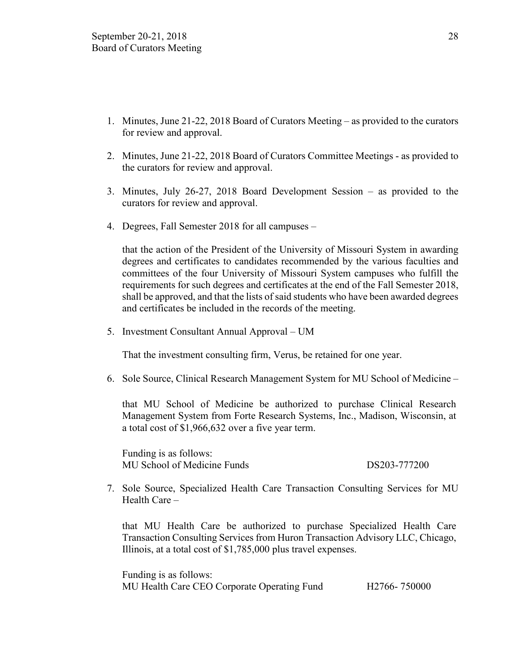- 1. Minutes, June 21-22, 2018 Board of Curators Meeting as provided to the curators for review and approval.
- 2. Minutes, June 21-22, 2018 Board of Curators Committee Meetings as provided to the curators for review and approval.
- 3. Minutes, July 26-27, 2018 Board Development Session as provided to the curators for review and approval.
- 4. Degrees, Fall Semester 2018 for all campuses –

that the action of the President of the University of Missouri System in awarding degrees and certificates to candidates recommended by the various faculties and committees of the four University of Missouri System campuses who fulfill the requirements for such degrees and certificates at the end of the Fall Semester 2018, shall be approved, and that the lists of said students who have been awarded degrees and certificates be included in the records of the meeting.

5. Investment Consultant Annual Approval – UM

That the investment consulting firm, Verus, be retained for one year.

6. Sole Source, Clinical Research Management System for MU School of Medicine –

that MU School of Medicine be authorized to purchase Clinical Research Management System from Forte Research Systems, Inc., Madison, Wisconsin, at a total cost of \$1,966,632 over a five year term.

Funding is as follows: MU School of Medicine Funds DS203-777200

7. Sole Source, Specialized Health Care Transaction Consulting Services for MU Health Care –

that MU Health Care be authorized to purchase Specialized Health Care Transaction Consulting Services from Huron Transaction Advisory LLC, Chicago, Illinois, at a total cost of \$1,785,000 plus travel expenses.

Funding is as follows: MU Health Care CEO Corporate Operating Fund H2766- 750000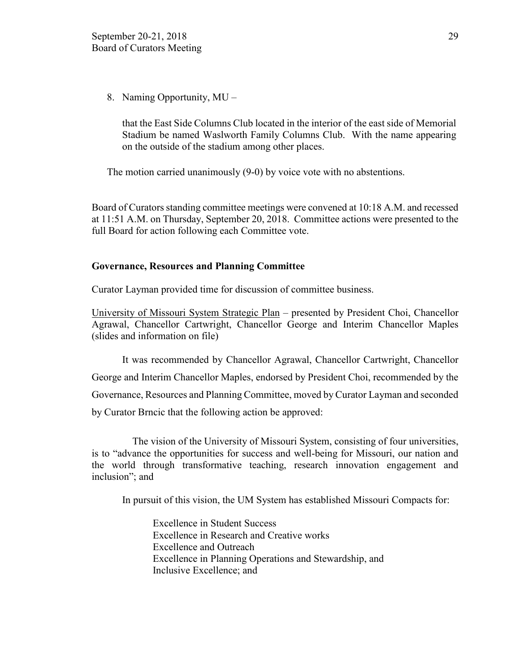8. Naming Opportunity, MU –

that the East Side Columns Club located in the interior of the east side of Memorial Stadium be named Waslworth Family Columns Club. With the name appearing on the outside of the stadium among other places.

The motion carried unanimously (9-0) by voice vote with no abstentions.

Board of Curators standing committee meetings were convened at 10:18 A.M. and recessed at 11:51 A.M. on Thursday, September 20, 2018. Committee actions were presented to the full Board for action following each Committee vote.

### **Governance, Resources and Planning Committee**

Curator Layman provided time for discussion of committee business.

University of Missouri System Strategic Plan – presented by President Choi, Chancellor Agrawal, Chancellor Cartwright, Chancellor George and Interim Chancellor Maples (slides and information on file)

It was recommended by Chancellor Agrawal, Chancellor Cartwright, Chancellor George and Interim Chancellor Maples, endorsed by President Choi, recommended by the Governance, Resources and Planning Committee, moved by Curator Layman and seconded by Curator Brncic that the following action be approved:

 The vision of the University of Missouri System, consisting of four universities, is to "advance the opportunities for success and well-being for Missouri, our nation and the world through transformative teaching, research innovation engagement and inclusion"; and

In pursuit of this vision, the UM System has established Missouri Compacts for:

Excellence in Student Success Excellence in Research and Creative works Excellence and Outreach Excellence in Planning Operations and Stewardship, and Inclusive Excellence; and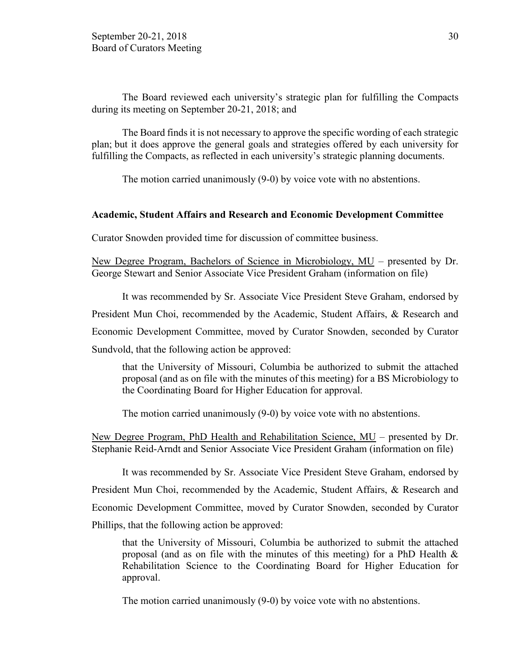The Board reviewed each university's strategic plan for fulfilling the Compacts during its meeting on September 20-21, 2018; and

The Board finds it is not necessary to approve the specific wording of each strategic plan; but it does approve the general goals and strategies offered by each university for fulfilling the Compacts, as reflected in each university's strategic planning documents.

The motion carried unanimously (9-0) by voice vote with no abstentions.

#### **Academic, Student Affairs and Research and Economic Development Committee**

Curator Snowden provided time for discussion of committee business.

New Degree Program, Bachelors of Science in Microbiology, MU – presented by Dr. George Stewart and Senior Associate Vice President Graham (information on file)

It was recommended by Sr. Associate Vice President Steve Graham, endorsed by President Mun Choi, recommended by the Academic, Student Affairs, & Research and Economic Development Committee, moved by Curator Snowden, seconded by Curator Sundvold, that the following action be approved:

that the University of Missouri, Columbia be authorized to submit the attached proposal (and as on file with the minutes of this meeting) for a BS Microbiology to the Coordinating Board for Higher Education for approval.

The motion carried unanimously (9-0) by voice vote with no abstentions.

New Degree Program, PhD Health and Rehabilitation Science, MU – presented by Dr. Stephanie Reid-Arndt and Senior Associate Vice President Graham (information on file)

It was recommended by Sr. Associate Vice President Steve Graham, endorsed by President Mun Choi, recommended by the Academic, Student Affairs, & Research and Economic Development Committee, moved by Curator Snowden, seconded by Curator Phillips, that the following action be approved:

that the University of Missouri, Columbia be authorized to submit the attached proposal (and as on file with the minutes of this meeting) for a PhD Health  $\&$ Rehabilitation Science to the Coordinating Board for Higher Education for approval.

The motion carried unanimously (9-0) by voice vote with no abstentions.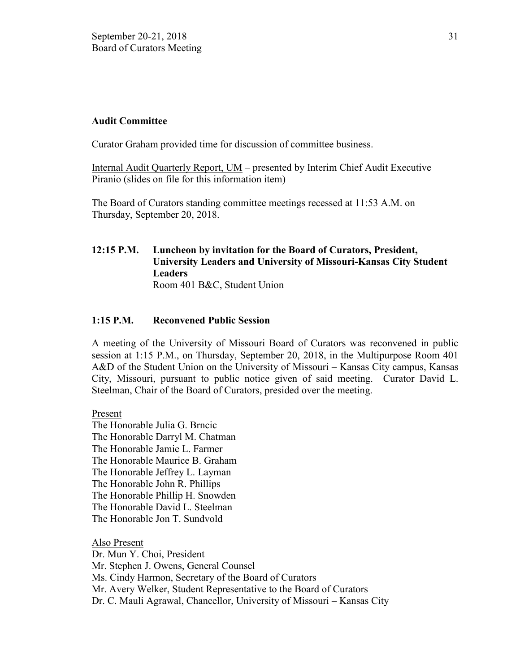### **Audit Committee**

Curator Graham provided time for discussion of committee business.

Internal Audit Quarterly Report, UM – presented by Interim Chief Audit Executive Piranio (slides on file for this information item)

The Board of Curators standing committee meetings recessed at 11:53 A.M. on Thursday, September 20, 2018.

### **12:15 P.M. Luncheon by invitation for the Board of Curators, President, University Leaders and University of Missouri-Kansas City Student Leaders** Room 401 B&C, Student Union

## **1:15 P.M. Reconvened Public Session**

A meeting of the University of Missouri Board of Curators was reconvened in public session at 1:15 P.M., on Thursday, September 20, 2018, in the Multipurpose Room 401 A&D of the Student Union on the University of Missouri – Kansas City campus, Kansas City, Missouri, pursuant to public notice given of said meeting. Curator David L. Steelman, Chair of the Board of Curators, presided over the meeting.

Present

The Honorable Julia G. Brncic The Honorable Darryl M. Chatman The Honorable Jamie L. Farmer The Honorable Maurice B. Graham The Honorable Jeffrey L. Layman The Honorable John R. Phillips The Honorable Phillip H. Snowden The Honorable David L. Steelman The Honorable Jon T. Sundvold

Also Present Dr. Mun Y. Choi, President Mr. Stephen J. Owens, General Counsel Ms. Cindy Harmon, Secretary of the Board of Curators Mr. Avery Welker, Student Representative to the Board of Curators Dr. C. Mauli Agrawal, Chancellor, University of Missouri – Kansas City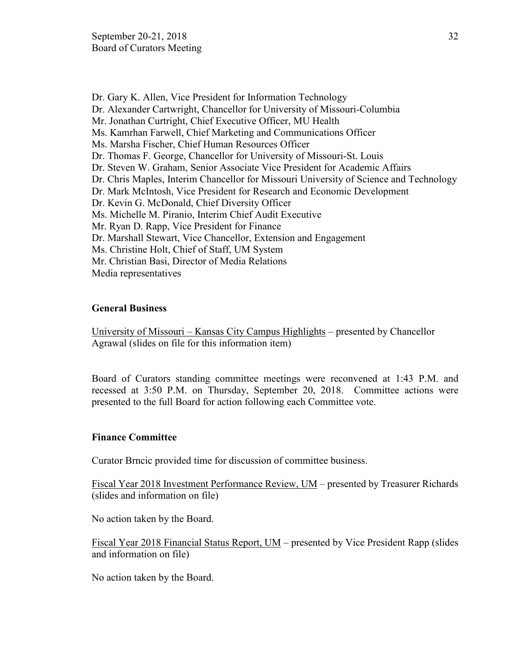Dr. Gary K. Allen, Vice President for Information Technology Dr. Alexander Cartwright, Chancellor for University of Missouri-Columbia Mr. Jonathan Curtright, Chief Executive Officer, MU Health Ms. Kamrhan Farwell, Chief Marketing and Communications Officer Ms. Marsha Fischer, Chief Human Resources Officer Dr. Thomas F. George, Chancellor for University of Missouri-St. Louis Dr. Steven W. Graham, Senior Associate Vice President for Academic Affairs Dr. Chris Maples, Interim Chancellor for Missouri University of Science and Technology Dr. Mark McIntosh, Vice President for Research and Economic Development Dr. Kevin G. McDonald, Chief Diversity Officer Ms. Michelle M. Piranio, Interim Chief Audit Executive Mr. Ryan D. Rapp, Vice President for Finance Dr. Marshall Stewart, Vice Chancellor, Extension and Engagement Ms. Christine Holt, Chief of Staff, UM System Mr. Christian Basi, Director of Media Relations Media representatives

## **General Business**

University of Missouri – Kansas City Campus Highlights – presented by Chancellor Agrawal (slides on file for this information item)

Board of Curators standing committee meetings were reconvened at 1:43 P.M. and recessed at 3:50 P.M. on Thursday, September 20, 2018. Committee actions were presented to the full Board for action following each Committee vote.

### **Finance Committee**

Curator Brncic provided time for discussion of committee business.

Fiscal Year 2018 Investment Performance Review, UM – presented by Treasurer Richards (slides and information on file)

No action taken by the Board.

Fiscal Year 2018 Financial Status Report, UM – presented by Vice President Rapp (slides and information on file)

No action taken by the Board.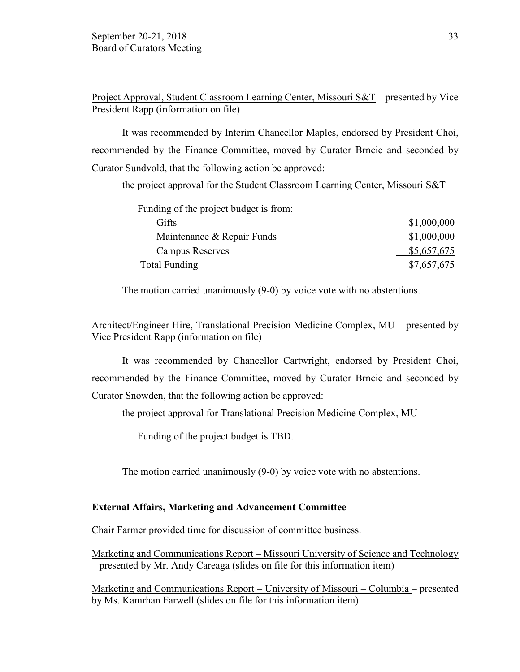Project Approval, Student Classroom Learning Center, Missouri S&T – presented by Vice President Rapp (information on file)

It was recommended by Interim Chancellor Maples, endorsed by President Choi, recommended by the Finance Committee, moved by Curator Brncic and seconded by Curator Sundvold, that the following action be approved:

the project approval for the Student Classroom Learning Center, Missouri S&T

| Funding of the project budget is from: |             |
|----------------------------------------|-------------|
| Gifts                                  | \$1,000,000 |
| Maintenance & Repair Funds             | \$1,000,000 |
| <b>Campus Reserves</b>                 | \$5,657,675 |
| Total Funding                          | \$7,657,675 |

The motion carried unanimously (9-0) by voice vote with no abstentions.

Architect/Engineer Hire, Translational Precision Medicine Complex, MU – presented by Vice President Rapp (information on file)

It was recommended by Chancellor Cartwright, endorsed by President Choi, recommended by the Finance Committee, moved by Curator Brncic and seconded by Curator Snowden, that the following action be approved:

the project approval for Translational Precision Medicine Complex, MU

Funding of the project budget is TBD.

The motion carried unanimously (9-0) by voice vote with no abstentions.

### **External Affairs, Marketing and Advancement Committee**

Chair Farmer provided time for discussion of committee business.

Marketing and Communications Report – Missouri University of Science and Technology – presented by Mr. Andy Careaga (slides on file for this information item)

Marketing and Communications Report – University of Missouri – Columbia – presented by Ms. Kamrhan Farwell (slides on file for this information item)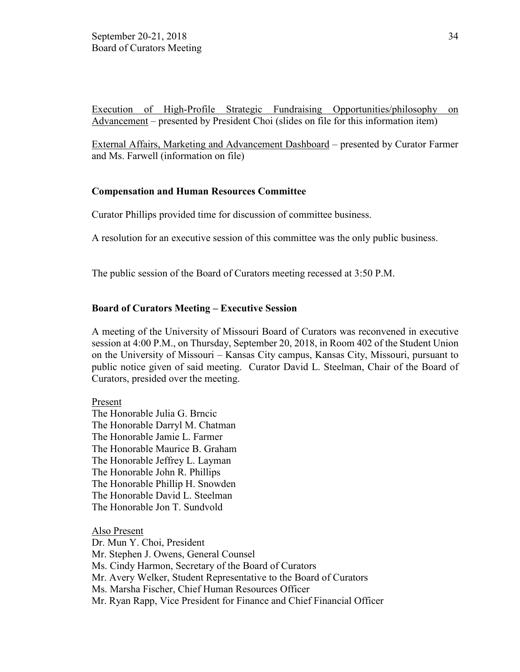Execution of High-Profile Strategic Fundraising Opportunities/philosophy on Advancement – presented by President Choi (slides on file for this information item)

External Affairs, Marketing and Advancement Dashboard – presented by Curator Farmer and Ms. Farwell (information on file)

### **Compensation and Human Resources Committee**

Curator Phillips provided time for discussion of committee business.

A resolution for an executive session of this committee was the only public business.

The public session of the Board of Curators meeting recessed at 3:50 P.M.

### **Board of Curators Meeting – Executive Session**

A meeting of the University of Missouri Board of Curators was reconvened in executive session at 4:00 P.M., on Thursday, September 20, 2018, in Room 402 of the Student Union on the University of Missouri – Kansas City campus, Kansas City, Missouri, pursuant to public notice given of said meeting. Curator David L. Steelman, Chair of the Board of Curators, presided over the meeting.

Present

The Honorable Julia G. Brncic The Honorable Darryl M. Chatman The Honorable Jamie L. Farmer The Honorable Maurice B. Graham The Honorable Jeffrey L. Layman The Honorable John R. Phillips The Honorable Phillip H. Snowden The Honorable David L. Steelman The Honorable Jon T. Sundvold

Also Present Dr. Mun Y. Choi, President Mr. Stephen J. Owens, General Counsel Ms. Cindy Harmon, Secretary of the Board of Curators Mr. Avery Welker, Student Representative to the Board of Curators Ms. Marsha Fischer, Chief Human Resources Officer Mr. Ryan Rapp, Vice President for Finance and Chief Financial Officer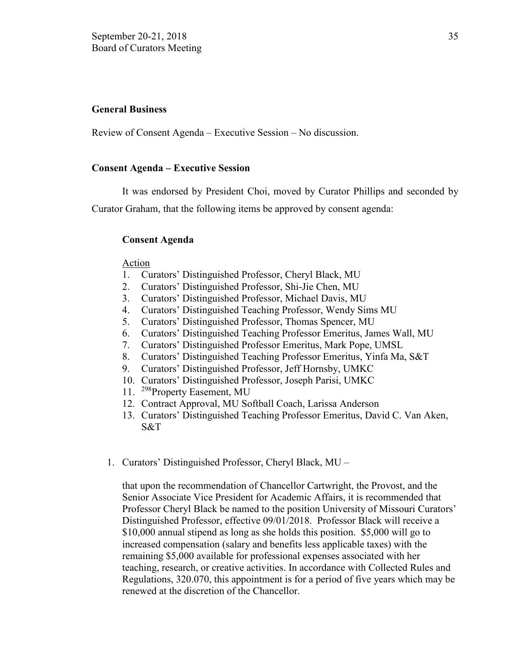### **General Business**

Review of Consent Agenda – Executive Session – No discussion.

#### **Consent Agenda – Executive Session**

It was endorsed by President Choi, moved by Curator Phillips and seconded by Curator Graham, that the following items be approved by consent agenda:

#### **Consent Agenda**

#### Action

- 1. Curators' Distinguished Professor, Cheryl Black, MU
- 2. Curators' Distinguished Professor, Shi-Jie Chen, MU
- 3. Curators' Distinguished Professor, Michael Davis, MU
- 4. Curators' Distinguished Teaching Professor, Wendy Sims MU
- 5. Curators' Distinguished Professor, Thomas Spencer, MU
- 6. Curators' Distinguished Teaching Professor Emeritus, James Wall, MU
- 7. Curators' Distinguished Professor Emeritus, Mark Pope, UMSL
- 8. Curators' Distinguished Teaching Professor Emeritus, Yinfa Ma, S&T
- 9. Curators' Distinguished Professor, Jeff Hornsby, UMKC
- 10. Curators' Distinguished Professor, Joseph Parisi, UMKC
- 11. <sup>298</sup>Property Easement, MU
- 12. Contract Approval, MU Softball Coach, Larissa Anderson
- 13. Curators' Distinguished Teaching Professor Emeritus, David C. Van Aken, S&T
- 1. Curators' Distinguished Professor, Cheryl Black, MU –

that upon the recommendation of Chancellor Cartwright, the Provost, and the Senior Associate Vice President for Academic Affairs, it is recommended that Professor Cheryl Black be named to the position University of Missouri Curators' Distinguished Professor, effective 09/01/2018. Professor Black will receive a \$10,000 annual stipend as long as she holds this position. \$5,000 will go to increased compensation (salary and benefits less applicable taxes) with the remaining \$5,000 available for professional expenses associated with her teaching, research, or creative activities. In accordance with Collected Rules and Regulations, 320.070, this appointment is for a period of five years which may be renewed at the discretion of the Chancellor.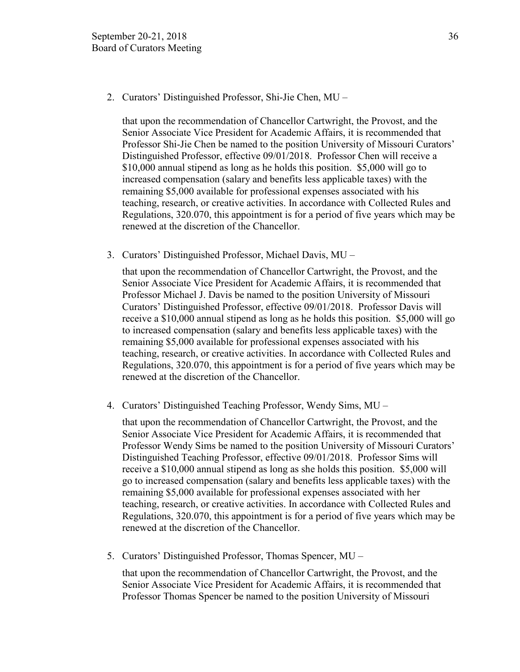2. Curators' Distinguished Professor, Shi-Jie Chen, MU –

that upon the recommendation of Chancellor Cartwright, the Provost, and the Senior Associate Vice President for Academic Affairs, it is recommended that Professor Shi-Jie Chen be named to the position University of Missouri Curators' Distinguished Professor, effective 09/01/2018. Professor Chen will receive a \$10,000 annual stipend as long as he holds this position. \$5,000 will go to increased compensation (salary and benefits less applicable taxes) with the remaining \$5,000 available for professional expenses associated with his teaching, research, or creative activities. In accordance with Collected Rules and Regulations, 320.070, this appointment is for a period of five years which may be renewed at the discretion of the Chancellor.

3. Curators' Distinguished Professor, Michael Davis, MU –

that upon the recommendation of Chancellor Cartwright, the Provost, and the Senior Associate Vice President for Academic Affairs, it is recommended that Professor Michael J. Davis be named to the position University of Missouri Curators' Distinguished Professor, effective 09/01/2018. Professor Davis will receive a \$10,000 annual stipend as long as he holds this position. \$5,000 will go to increased compensation (salary and benefits less applicable taxes) with the remaining \$5,000 available for professional expenses associated with his teaching, research, or creative activities. In accordance with Collected Rules and Regulations, 320.070, this appointment is for a period of five years which may be renewed at the discretion of the Chancellor.

4. Curators' Distinguished Teaching Professor, Wendy Sims, MU –

that upon the recommendation of Chancellor Cartwright, the Provost, and the Senior Associate Vice President for Academic Affairs, it is recommended that Professor Wendy Sims be named to the position University of Missouri Curators' Distinguished Teaching Professor, effective 09/01/2018. Professor Sims will receive a \$10,000 annual stipend as long as she holds this position. \$5,000 will go to increased compensation (salary and benefits less applicable taxes) with the remaining \$5,000 available for professional expenses associated with her teaching, research, or creative activities. In accordance with Collected Rules and Regulations, 320.070, this appointment is for a period of five years which may be renewed at the discretion of the Chancellor.

5. Curators' Distinguished Professor, Thomas Spencer, MU –

that upon the recommendation of Chancellor Cartwright, the Provost, and the Senior Associate Vice President for Academic Affairs, it is recommended that Professor Thomas Spencer be named to the position University of Missouri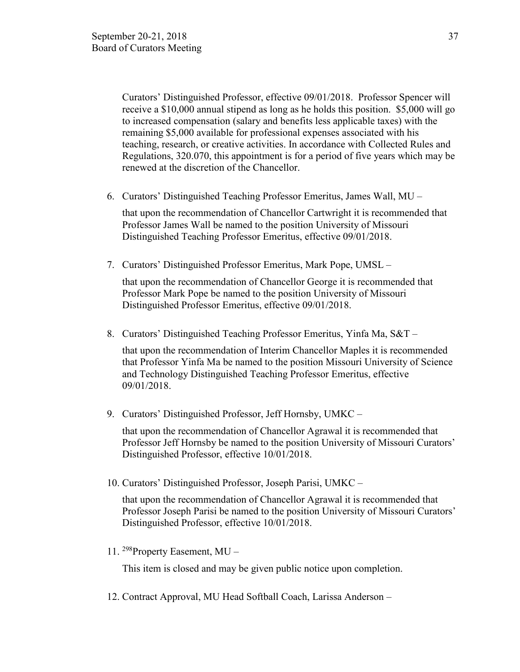Curators' Distinguished Professor, effective 09/01/2018. Professor Spencer will receive a \$10,000 annual stipend as long as he holds this position. \$5,000 will go to increased compensation (salary and benefits less applicable taxes) with the remaining \$5,000 available for professional expenses associated with his teaching, research, or creative activities. In accordance with Collected Rules and Regulations, 320.070, this appointment is for a period of five years which may be renewed at the discretion of the Chancellor.

6. Curators' Distinguished Teaching Professor Emeritus, James Wall, MU –

that upon the recommendation of Chancellor Cartwright it is recommended that Professor James Wall be named to the position University of Missouri Distinguished Teaching Professor Emeritus, effective 09/01/2018.

7. Curators' Distinguished Professor Emeritus, Mark Pope, UMSL –

that upon the recommendation of Chancellor George it is recommended that Professor Mark Pope be named to the position University of Missouri Distinguished Professor Emeritus, effective 09/01/2018.

8. Curators' Distinguished Teaching Professor Emeritus, Yinfa Ma, S&T –

that upon the recommendation of Interim Chancellor Maples it is recommended that Professor Yinfa Ma be named to the position Missouri University of Science and Technology Distinguished Teaching Professor Emeritus, effective 09/01/2018.

9. Curators' Distinguished Professor, Jeff Hornsby, UMKC –

that upon the recommendation of Chancellor Agrawal it is recommended that Professor Jeff Hornsby be named to the position University of Missouri Curators' Distinguished Professor, effective 10/01/2018.

10. Curators' Distinguished Professor, Joseph Parisi, UMKC –

that upon the recommendation of Chancellor Agrawal it is recommended that Professor Joseph Parisi be named to the position University of Missouri Curators' Distinguished Professor, effective 10/01/2018.

11. 298Property Easement, MU –

This item is closed and may be given public notice upon completion.

12. Contract Approval, MU Head Softball Coach, Larissa Anderson –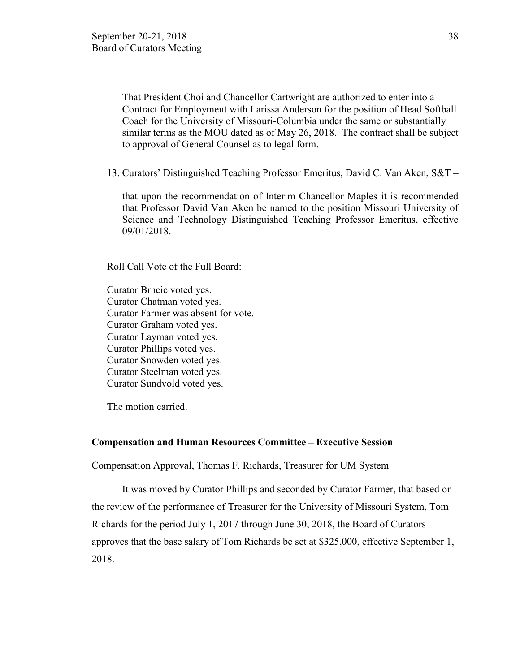That President Choi and Chancellor Cartwright are authorized to enter into a Contract for Employment with Larissa Anderson for the position of Head Softball Coach for the University of Missouri-Columbia under the same or substantially similar terms as the MOU dated as of May 26, 2018. The contract shall be subject to approval of General Counsel as to legal form.

13. Curators' Distinguished Teaching Professor Emeritus, David C. Van Aken, S&T –

that upon the recommendation of Interim Chancellor Maples it is recommended that Professor David Van Aken be named to the position Missouri University of Science and Technology Distinguished Teaching Professor Emeritus, effective 09/01/2018.

Roll Call Vote of the Full Board:

Curator Brncic voted yes. Curator Chatman voted yes. Curator Farmer was absent for vote. Curator Graham voted yes. Curator Layman voted yes. Curator Phillips voted yes. Curator Snowden voted yes. Curator Steelman voted yes. Curator Sundvold voted yes.

The motion carried.

#### **Compensation and Human Resources Committee – Executive Session**

#### Compensation Approval, Thomas F. Richards, Treasurer for UM System

It was moved by Curator Phillips and seconded by Curator Farmer, that based on the review of the performance of Treasurer for the University of Missouri System, Tom Richards for the period July 1, 2017 through June 30, 2018, the Board of Curators approves that the base salary of Tom Richards be set at \$325,000, effective September 1, 2018.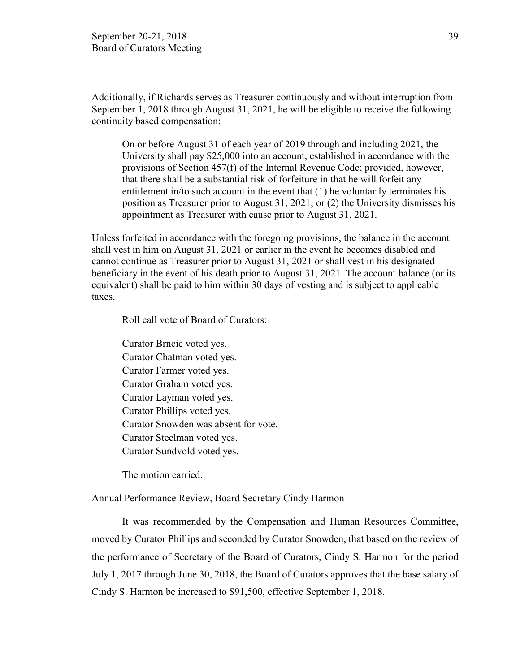Additionally, if Richards serves as Treasurer continuously and without interruption from September 1, 2018 through August 31, 2021, he will be eligible to receive the following continuity based compensation:

 On or before August 31 of each year of 2019 through and including 2021, the University shall pay \$25,000 into an account, established in accordance with the provisions of Section 457(f) of the Internal Revenue Code; provided, however, that there shall be a substantial risk of forfeiture in that he will forfeit any entitlement in/to such account in the event that (1) he voluntarily terminates his position as Treasurer prior to August 31, 2021; or (2) the University dismisses his appointment as Treasurer with cause prior to August 31, 2021.

Unless forfeited in accordance with the foregoing provisions, the balance in the account shall vest in him on August 31, 2021 or earlier in the event he becomes disabled and cannot continue as Treasurer prior to August 31, 2021 or shall vest in his designated beneficiary in the event of his death prior to August 31, 2021. The account balance (or its equivalent) shall be paid to him within 30 days of vesting and is subject to applicable taxes.

Roll call vote of Board of Curators:

Curator Brncic voted yes. Curator Chatman voted yes. Curator Farmer voted yes. Curator Graham voted yes. Curator Layman voted yes. Curator Phillips voted yes. Curator Snowden was absent for vote. Curator Steelman voted yes. Curator Sundvold voted yes.

The motion carried.

#### Annual Performance Review, Board Secretary Cindy Harmon

It was recommended by the Compensation and Human Resources Committee, moved by Curator Phillips and seconded by Curator Snowden, that based on the review of the performance of Secretary of the Board of Curators, Cindy S. Harmon for the period July 1, 2017 through June 30, 2018, the Board of Curators approves that the base salary of Cindy S. Harmon be increased to \$91,500, effective September 1, 2018.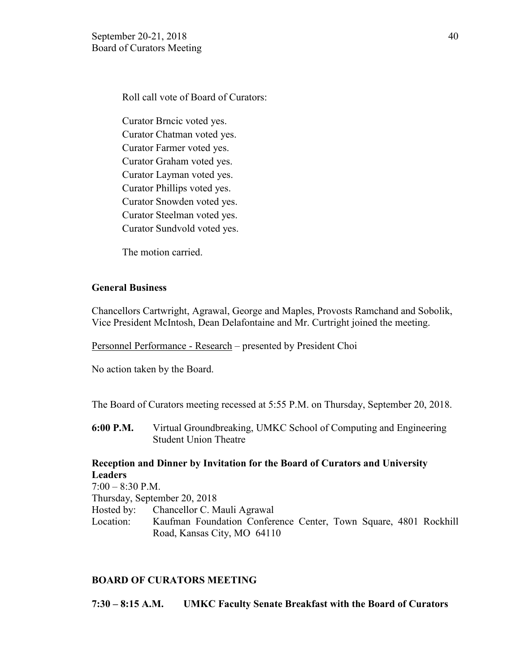Roll call vote of Board of Curators:

Curator Brncic voted yes. Curator Chatman voted yes. Curator Farmer voted yes. Curator Graham voted yes. Curator Layman voted yes. Curator Phillips voted yes. Curator Snowden voted yes. Curator Steelman voted yes. Curator Sundvold voted yes.

The motion carried.

### **General Business**

Chancellors Cartwright, Agrawal, George and Maples, Provosts Ramchand and Sobolik, Vice President McIntosh, Dean Delafontaine and Mr. Curtright joined the meeting.

Personnel Performance - Research – presented by President Choi

No action taken by the Board.

The Board of Curators meeting recessed at 5:55 P.M. on Thursday, September 20, 2018.

**6:00 P.M.** Virtual Groundbreaking, UMKC School of Computing and Engineering Student Union Theatre

### **Reception and Dinner by Invitation for the Board of Curators and University Leaders**

 $7:00 - 8:30$  P.M. Thursday, September 20, 2018 Hosted by: Chancellor C. Mauli Agrawal Location: Kaufman Foundation Conference Center, Town Square, 4801 Rockhill Road, Kansas City, MO 64110

### **BOARD OF CURATORS MEETING**

**7:30 – 8:15 A.M. UMKC Faculty Senate Breakfast with the Board of Curators**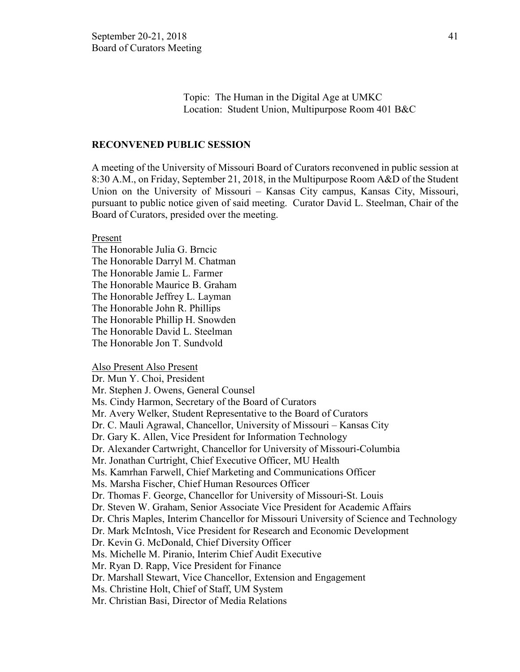Topic: The Human in the Digital Age at UMKC Location: Student Union, Multipurpose Room 401 B&C

#### **RECONVENED PUBLIC SESSION**

A meeting of the University of Missouri Board of Curators reconvened in public session at 8:30 A.M., on Friday, September 21, 2018, in the Multipurpose Room A&D of the Student Union on the University of Missouri – Kansas City campus, Kansas City, Missouri, pursuant to public notice given of said meeting. Curator David L. Steelman, Chair of the Board of Curators, presided over the meeting.

Present

The Honorable Julia G. Brncic The Honorable Darryl M. Chatman The Honorable Jamie L. Farmer The Honorable Maurice B. Graham The Honorable Jeffrey L. Layman The Honorable John R. Phillips The Honorable Phillip H. Snowden The Honorable David L. Steelman The Honorable Jon T. Sundvold

Also Present Also Present

Dr. Mun Y. Choi, President Mr. Stephen J. Owens, General Counsel Ms. Cindy Harmon, Secretary of the Board of Curators Mr. Avery Welker, Student Representative to the Board of Curators Dr. C. Mauli Agrawal, Chancellor, University of Missouri – Kansas City Dr. Gary K. Allen, Vice President for Information Technology Dr. Alexander Cartwright, Chancellor for University of Missouri-Columbia Mr. Jonathan Curtright, Chief Executive Officer, MU Health Ms. Kamrhan Farwell, Chief Marketing and Communications Officer Ms. Marsha Fischer, Chief Human Resources Officer Dr. Thomas F. George, Chancellor for University of Missouri-St. Louis Dr. Steven W. Graham, Senior Associate Vice President for Academic Affairs Dr. Chris Maples, Interim Chancellor for Missouri University of Science and Technology Dr. Mark McIntosh, Vice President for Research and Economic Development Dr. Kevin G. McDonald, Chief Diversity Officer Ms. Michelle M. Piranio, Interim Chief Audit Executive Mr. Ryan D. Rapp, Vice President for Finance Dr. Marshall Stewart, Vice Chancellor, Extension and Engagement Ms. Christine Holt, Chief of Staff, UM System Mr. Christian Basi, Director of Media Relations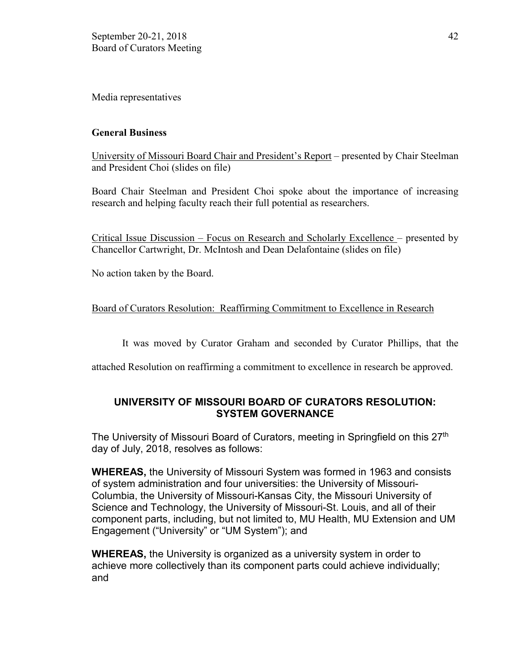Media representatives

## **General Business**

University of Missouri Board Chair and President's Report – presented by Chair Steelman and President Choi (slides on file)

Board Chair Steelman and President Choi spoke about the importance of increasing research and helping faculty reach their full potential as researchers.

Critical Issue Discussion – Focus on Research and Scholarly Excellence – presented by Chancellor Cartwright, Dr. McIntosh and Dean Delafontaine (slides on file)

No action taken by the Board.

## Board of Curators Resolution: Reaffirming Commitment to Excellence in Research

It was moved by Curator Graham and seconded by Curator Phillips, that the

attached Resolution on reaffirming a commitment to excellence in research be approved.

## **UNIVERSITY OF MISSOURI BOARD OF CURATORS RESOLUTION: SYSTEM GOVERNANCE**

The University of Missouri Board of Curators, meeting in Springfield on this 27<sup>th</sup> day of July, 2018, resolves as follows:

**WHEREAS,** the University of Missouri System was formed in 1963 and consists of system administration and four universities: the University of Missouri-Columbia, the University of Missouri-Kansas City, the Missouri University of Science and Technology, the University of Missouri-St. Louis, and all of their component parts, including, but not limited to, MU Health, MU Extension and UM Engagement ("University" or "UM System"); and

**WHEREAS,** the University is organized as a university system in order to achieve more collectively than its component parts could achieve individually; and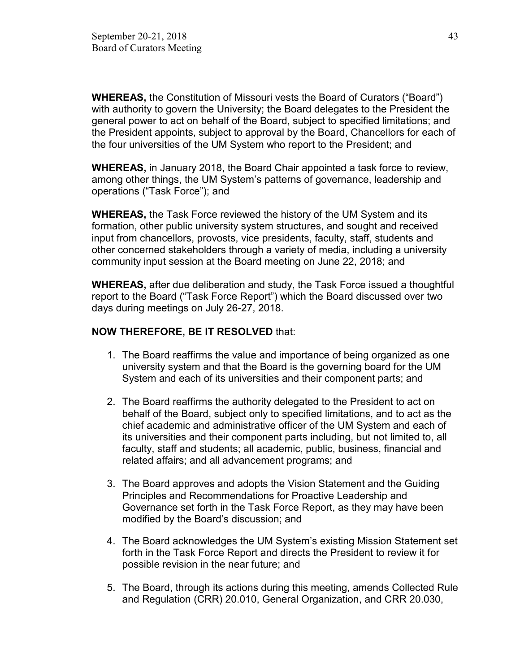**WHEREAS,** the Constitution of Missouri vests the Board of Curators ("Board") with authority to govern the University; the Board delegates to the President the general power to act on behalf of the Board, subject to specified limitations; and the President appoints, subject to approval by the Board, Chancellors for each of the four universities of the UM System who report to the President; and

**WHEREAS,** in January 2018, the Board Chair appointed a task force to review, among other things, the UM System's patterns of governance, leadership and operations ("Task Force"); and

**WHEREAS,** the Task Force reviewed the history of the UM System and its formation, other public university system structures, and sought and received input from chancellors, provosts, vice presidents, faculty, staff, students and other concerned stakeholders through a variety of media, including a university community input session at the Board meeting on June 22, 2018; and

**WHEREAS,** after due deliberation and study, the Task Force issued a thoughtful report to the Board ("Task Force Report") which the Board discussed over two days during meetings on July 26-27, 2018.

## **NOW THEREFORE, BE IT RESOLVED** that:

- 1. The Board reaffirms the value and importance of being organized as one university system and that the Board is the governing board for the UM System and each of its universities and their component parts; and
- 2. The Board reaffirms the authority delegated to the President to act on behalf of the Board, subject only to specified limitations, and to act as the chief academic and administrative officer of the UM System and each of its universities and their component parts including, but not limited to, all faculty, staff and students; all academic, public, business, financial and related affairs; and all advancement programs; and
- 3. The Board approves and adopts the Vision Statement and the Guiding Principles and Recommendations for Proactive Leadership and Governance set forth in the Task Force Report, as they may have been modified by the Board's discussion; and
- 4. The Board acknowledges the UM System's existing Mission Statement set forth in the Task Force Report and directs the President to review it for possible revision in the near future; and
- 5. The Board, through its actions during this meeting, amends Collected Rule and Regulation (CRR) 20.010, General Organization, and CRR 20.030,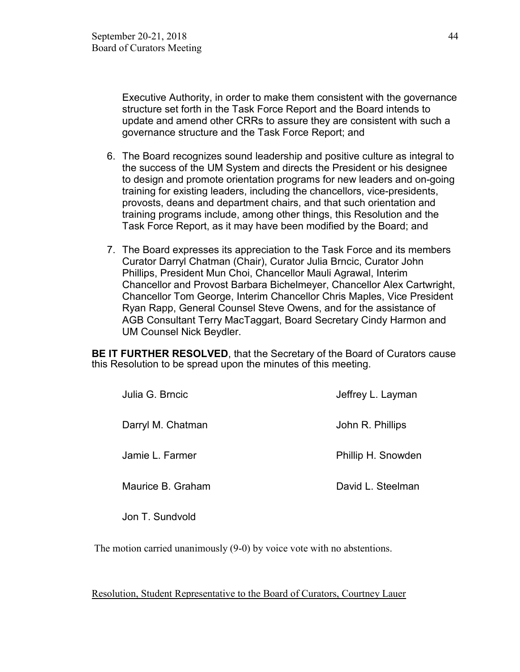Executive Authority, in order to make them consistent with the governance structure set forth in the Task Force Report and the Board intends to update and amend other CRRs to assure they are consistent with such a governance structure and the Task Force Report; and

- 6. The Board recognizes sound leadership and positive culture as integral to the success of the UM System and directs the President or his designee to design and promote orientation programs for new leaders and on-going training for existing leaders, including the chancellors, vice-presidents, provosts, deans and department chairs, and that such orientation and training programs include, among other things, this Resolution and the Task Force Report, as it may have been modified by the Board; and
- 7. The Board expresses its appreciation to the Task Force and its members Curator Darryl Chatman (Chair), Curator Julia Brncic, Curator John Phillips, President Mun Choi, Chancellor Mauli Agrawal, Interim Chancellor and Provost Barbara Bichelmeyer, Chancellor Alex Cartwright, Chancellor Tom George, Interim Chancellor Chris Maples, Vice President Ryan Rapp, General Counsel Steve Owens, and for the assistance of AGB Consultant Terry MacTaggart, Board Secretary Cindy Harmon and UM Counsel Nick Beydler.

**BE IT FURTHER RESOLVED**, that the Secretary of the Board of Curators cause this Resolution to be spread upon the minutes of this meeting.

| Julia G. Brncic   | Jeffrey L. Layman  |
|-------------------|--------------------|
| Darryl M. Chatman | John R. Phillips   |
| Jamie L. Farmer   | Phillip H. Snowden |
| Maurice B. Graham | David L. Steelman  |

Jon T. Sundvold

The motion carried unanimously (9-0) by voice vote with no abstentions.

Resolution, Student Representative to the Board of Curators, Courtney Lauer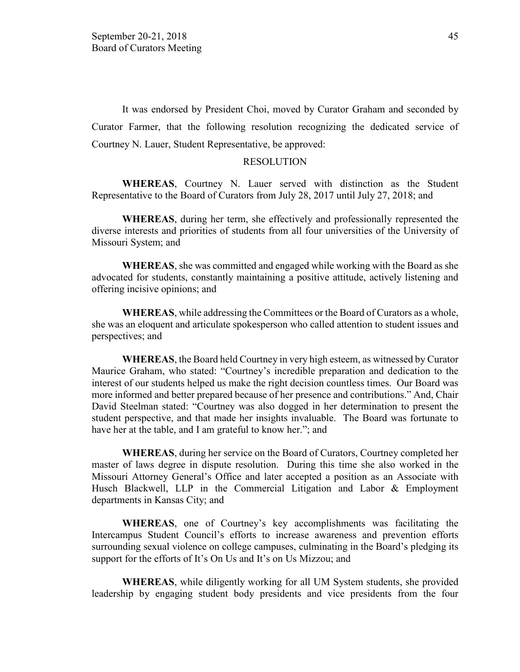It was endorsed by President Choi, moved by Curator Graham and seconded by Curator Farmer, that the following resolution recognizing the dedicated service of Courtney N. Lauer, Student Representative, be approved:

#### RESOLUTION

**WHEREAS**, Courtney N. Lauer served with distinction as the Student Representative to the Board of Curators from July 28, 2017 until July 27, 2018; and

**WHEREAS**, during her term, she effectively and professionally represented the diverse interests and priorities of students from all four universities of the University of Missouri System; and

**WHEREAS**, she was committed and engaged while working with the Board as she advocated for students, constantly maintaining a positive attitude, actively listening and offering incisive opinions; and

**WHEREAS**, while addressing the Committees or the Board of Curators as a whole, she was an eloquent and articulate spokesperson who called attention to student issues and perspectives; and

**WHEREAS**, the Board held Courtney in very high esteem, as witnessed by Curator Maurice Graham, who stated: "Courtney's incredible preparation and dedication to the interest of our students helped us make the right decision countless times. Our Board was more informed and better prepared because of her presence and contributions." And, Chair David Steelman stated: "Courtney was also dogged in her determination to present the student perspective, and that made her insights invaluable. The Board was fortunate to have her at the table, and I am grateful to know her."; and

**WHEREAS**, during her service on the Board of Curators, Courtney completed her master of laws degree in dispute resolution. During this time she also worked in the Missouri Attorney General's Office and later accepted a position as an Associate with Husch Blackwell, LLP in the Commercial Litigation and Labor & Employment departments in Kansas City; and

**WHEREAS**, one of Courtney's key accomplishments was facilitating the Intercampus Student Council's efforts to increase awareness and prevention efforts surrounding sexual violence on college campuses, culminating in the Board's pledging its support for the efforts of It's On Us and It's on Us Mizzou; and

**WHEREAS**, while diligently working for all UM System students, she provided leadership by engaging student body presidents and vice presidents from the four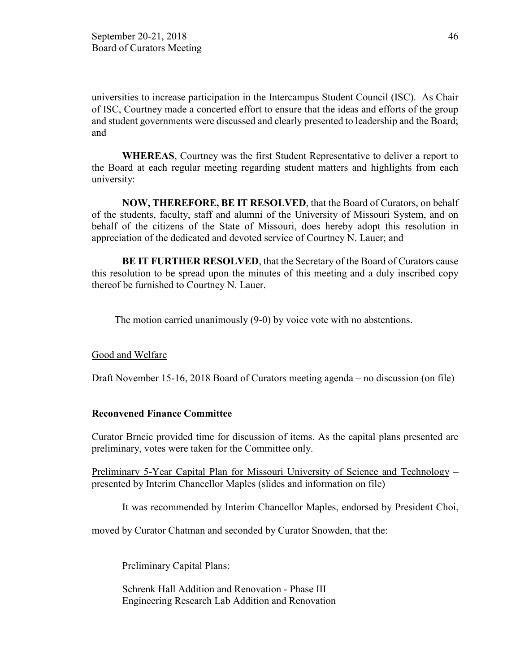universities to increase participation in the Intercampus Student Council (ISC). As Chair of ISC, Courtney made a concerted effort to ensure that the ideas and efforts of the group and student governments were discussed and clearly presented to leadership and the Board; and

**WHEREAS**, Courtney was the first Student Representative to deliver a report to the Board at each regular meeting regarding student matters and highlights from each university:

**NOW, THEREFORE, BE IT RESOLVED**, that the Board of Curators, on behalf of the students, faculty, staff and alumni of the University of Missouri System, and on behalf of the citizens of the State of Missouri, does hereby adopt this resolution in appreciation of the dedicated and devoted service of Courtney N. Lauer; and

**BE IT FURTHER RESOLVED**, that the Secretary of the Board of Curators cause this resolution to be spread upon the minutes of this meeting and a duly inscribed copy thereof be furnished to Courtney N. Lauer.

The motion carried unanimously (9-0) by voice vote with no abstentions.

#### Good and Welfare

Draft November 15-16, 2018 Board of Curators meeting agenda – no discussion (on file)

#### **Reconvened Finance Committee**

Curator Brncic provided time for discussion of items. As the capital plans presented are preliminary, votes were taken for the Committee only.

Preliminary 5-Year Capital Plan for Missouri University of Science and Technology – presented by Interim Chancellor Maples (slides and information on file)

It was recommended by Interim Chancellor Maples, endorsed by President Choi,

moved by Curator Chatman and seconded by Curator Snowden, that the:

Preliminary Capital Plans:

Schrenk Hall Addition and Renovation - Phase III Engineering Research Lab Addition and Renovation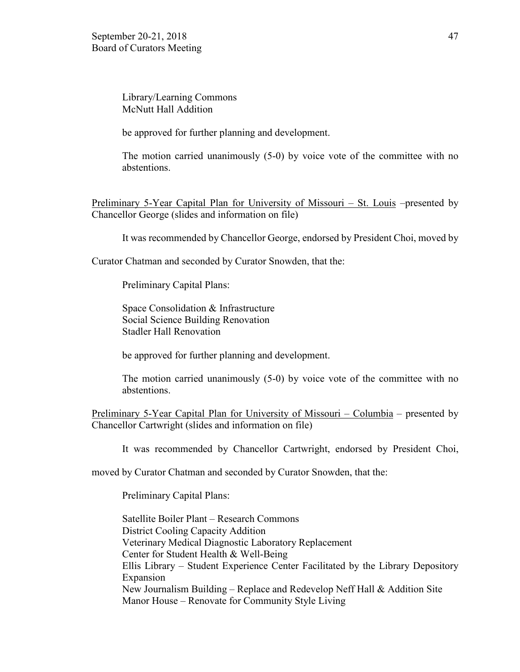Library/Learning Commons McNutt Hall Addition

be approved for further planning and development.

The motion carried unanimously (5-0) by voice vote of the committee with no abstentions.

Preliminary 5-Year Capital Plan for University of Missouri – St. Louis –presented by Chancellor George (slides and information on file)

It was recommended by Chancellor George, endorsed by President Choi, moved by

Curator Chatman and seconded by Curator Snowden, that the:

Preliminary Capital Plans:

Space Consolidation & Infrastructure Social Science Building Renovation Stadler Hall Renovation

be approved for further planning and development.

The motion carried unanimously (5-0) by voice vote of the committee with no abstentions.

Preliminary 5-Year Capital Plan for University of Missouri – Columbia – presented by Chancellor Cartwright (slides and information on file)

It was recommended by Chancellor Cartwright, endorsed by President Choi,

moved by Curator Chatman and seconded by Curator Snowden, that the:

Preliminary Capital Plans:

Satellite Boiler Plant – Research Commons District Cooling Capacity Addition Veterinary Medical Diagnostic Laboratory Replacement Center for Student Health & Well-Being Ellis Library – Student Experience Center Facilitated by the Library Depository Expansion New Journalism Building – Replace and Redevelop Neff Hall & Addition Site Manor House – Renovate for Community Style Living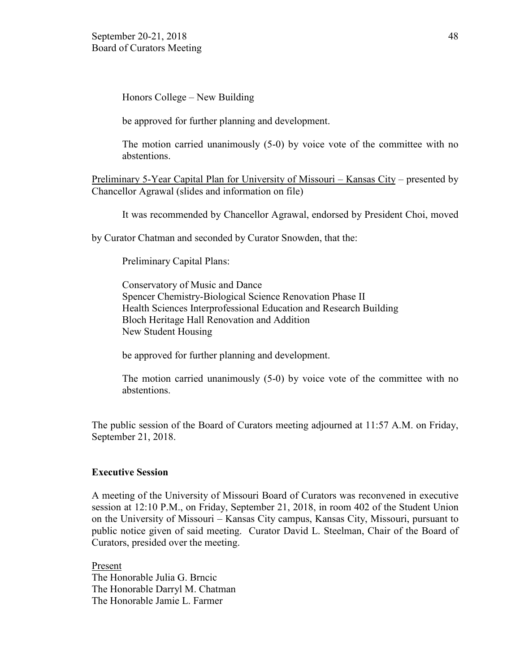Honors College – New Building

be approved for further planning and development.

The motion carried unanimously (5-0) by voice vote of the committee with no abstentions.

Preliminary 5-Year Capital Plan for University of Missouri – Kansas City – presented by Chancellor Agrawal (slides and information on file)

It was recommended by Chancellor Agrawal, endorsed by President Choi, moved

by Curator Chatman and seconded by Curator Snowden, that the:

Preliminary Capital Plans:

Conservatory of Music and Dance Spencer Chemistry-Biological Science Renovation Phase II Health Sciences Interprofessional Education and Research Building Bloch Heritage Hall Renovation and Addition New Student Housing

be approved for further planning and development.

The motion carried unanimously (5-0) by voice vote of the committee with no abstentions.

The public session of the Board of Curators meeting adjourned at 11:57 A.M. on Friday, September 21, 2018.

#### **Executive Session**

A meeting of the University of Missouri Board of Curators was reconvened in executive session at 12:10 P.M., on Friday, September 21, 2018, in room 402 of the Student Union on the University of Missouri – Kansas City campus, Kansas City, Missouri, pursuant to public notice given of said meeting. Curator David L. Steelman, Chair of the Board of Curators, presided over the meeting.

Present The Honorable Julia G. Brncic The Honorable Darryl M. Chatman The Honorable Jamie L. Farmer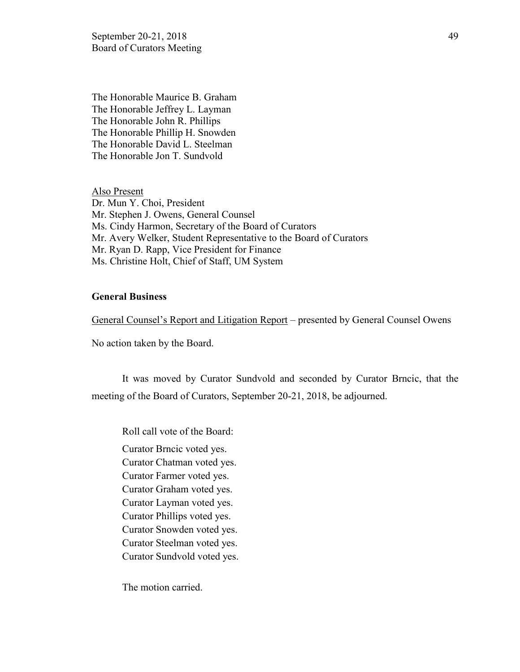September 20-21, 2018 49 Board of Curators Meeting

The Honorable Maurice B. Graham The Honorable Jeffrey L. Layman The Honorable John R. Phillips The Honorable Phillip H. Snowden The Honorable David L. Steelman The Honorable Jon T. Sundvold

Also Present Dr. Mun Y. Choi, President Mr. Stephen J. Owens, General Counsel Ms. Cindy Harmon, Secretary of the Board of Curators Mr. Avery Welker, Student Representative to the Board of Curators Mr. Ryan D. Rapp, Vice President for Finance Ms. Christine Holt, Chief of Staff, UM System

#### **General Business**

General Counsel's Report and Litigation Report – presented by General Counsel Owens

No action taken by the Board.

It was moved by Curator Sundvold and seconded by Curator Brncic, that the meeting of the Board of Curators, September 20-21, 2018, be adjourned.

Roll call vote of the Board: Curator Brncic voted yes. Curator Chatman voted yes. Curator Farmer voted yes. Curator Graham voted yes. Curator Layman voted yes. Curator Phillips voted yes. Curator Snowden voted yes. Curator Steelman voted yes. Curator Sundvold voted yes.

The motion carried.